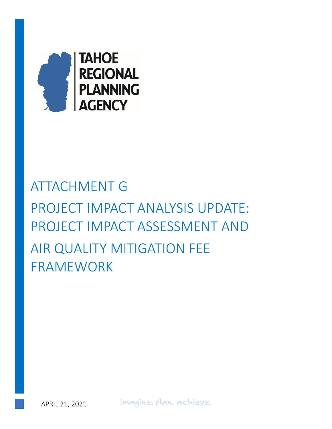

# ATTACHMENT G PROJECT IMPACT ANALYSIS UPDATE: PROJECT IMPACT ASSESSMENT AND AIR QUALITY MITIGATION FEE FRAMEWORK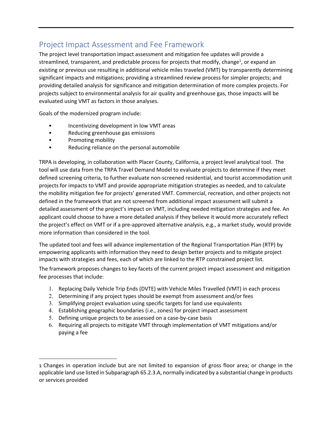# Project Impact Assessment and Fee Framework

The project level transportation impact assessment and mitigation fee updates will provide a streamlined, transparent, and predictable process for projects that modify, change<sup>1</sup>, or expand an existing or previous use resulting in additional vehicle miles traveled (VMT) by transparently determining significant impacts and mitigations; providing a streamlined review process for simpler projects; and providing detailed analysis for significance and mitigation determination of more complex projects. For projects subject to environmental analysis for air quality and greenhouse gas, those impacts will be evaluated using VMT as factors in those analyses.

Goals of the modernized program include:

- Incentivizing development in low VMT areas
- Reducing greenhouse gas emissions
- Promoting mobility
- Reducing reliance on the personal automobile

TRPA is developing, in collaboration with Placer County, California, a project level analytical tool. The tool will use data from the TRPA Travel Demand Model to evaluate projects to determine if they meet defined screening criteria, to further evaluate non‐screened residential, and tourist accommodation unit projects for impacts to VMT and provide appropriate mitigation strategies as needed, and to calculate the mobility mitigation fee for projects' generated VMT. Commercial, recreation, and other projects not defined in the framework that are not screened from additional impact assessment will submit a detailed assessment of the project's impact on VMT, including needed mitigation strategies and fee. An applicant could choose to have a more detailed analysis if they believe it would more accurately reflect the project's effect on VMT or if a pre‐approved alternative analysis, e.g., a market study, would provide more information than considered in the tool.

The updated tool and fees will advance implementation of the Regional Transportation Plan (RTP) by empowering applicants with information they need to design better projects and to mitigate project impacts with strategies and fees, each of which are linked to the RTP constrained project list.

The framework proposes changes to key facets of the current project impact assessment and mitigation fee processes that include:

- 1. Replacing Daily Vehicle Trip Ends (DVTE) with Vehicle Miles Travelled (VMT) in each process
- 2. Determining if any project types should be exempt from assessment and/or fees
- 3. Simplifying project evaluation using specific targets for land use equivalents
- 4. Establishing geographic boundaries (i.e., zones) for project impact assessment
- 5. Defining unique projects to be assessed on a case‐by‐case basis
- 6. Requiring all projects to mitigate VMT through implementation of VMT mitigations and/or paying a fee

<sup>1</sup> Changes in operation include but are not limited to expansion of gross floor area; or change in the applicable land use listed in Subparagraph 65.2.3.A, normally indicated by a substantial change in products or services provided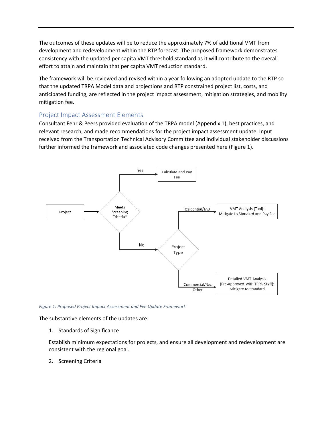The outcomes of these updates will be to reduce the approximately 7% of additional VMT from development and redevelopment within the RTP forecast. The proposed framework demonstrates consistency with the updated per capita VMT threshold standard as it will contribute to the overall effort to attain and maintain that per capita VMT reduction standard.

The framework will be reviewed and revised within a year following an adopted update to the RTP so that the updated TRPA Model data and projections and RTP constrained project list, costs, and anticipated funding, are reflected in the project impact assessment, mitigation strategies, and mobility mitigation fee.

# Project Impact Assessment Elements

Consultant Fehr & Peers provided evaluation of the TRPA model (Appendix 1), best practices, and relevant research, and made recommendations for the project impact assessment update. Input received from the Transportation Technical Advisory Committee and individual stakeholder discussions further informed the framework and associated code changes presented here (Figure 1).



*Figure 1: Proposed Project Impact Assessment and Fee Update Framework* 

The substantive elements of the updates are:

1. Standards of Significance

Establish minimum expectations for projects, and ensure all development and redevelopment are consistent with the regional goal.

2. Screening Criteria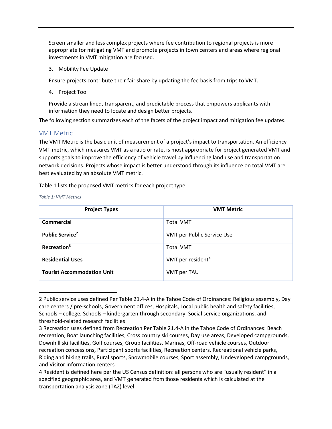Screen smaller and less complex projects where fee contribution to regional projects is more appropriate for mitigating VMT and promote projects in town centers and areas where regional investments in VMT mitigation are focused.

3. Mobility Fee Update

Ensure projects contribute their fair share by updating the fee basis from trips to VMT.

4. Project Tool

Provide a streamlined, transparent, and predictable process that empowers applicants with information they need to locate and design better projects.

The following section summarizes each of the facets of the project impact and mitigation fee updates.

## VMT Metric

The VMT Metric is the basic unit of measurement of a project's impact to transportation. An efficiency VMT metric, which measures VMT as a ratio or rate, is most appropriate for project generated VMT and supports goals to improve the efficiency of vehicle travel by influencing land use and transportation network decisions. Projects whose impact is better understood through its influence on total VMT are best evaluated by an absolute VMT metric.

Table 1 lists the proposed VMT metrics for each project type.

| <b>Project Types</b>               | <b>VMT Metric</b>             |
|------------------------------------|-------------------------------|
| Commercial                         | <b>Total VMT</b>              |
| <b>Public Service</b> <sup>2</sup> | VMT per Public Service Use    |
| Recreation <sup>3</sup>            | <b>Total VMT</b>              |
| <b>Residential Uses</b>            | VMT per resident <sup>4</sup> |
| <b>Tourist Accommodation Unit</b>  | VMT per TAU                   |

*Table 1: VMT Metrics* 

<sup>2</sup> Public service uses defined Per Table 21.4‐A in the Tahoe Code of Ordinances: Religious assembly, Day care centers / pre‐schools, Government offices, Hospitals, Local public health and safety facilities, Schools – college, Schools – kindergarten through secondary, Social service organizations, and threshold‐related research facilities

<sup>3</sup> Recreation uses defined from Recreation Per Table 21.4‐A in the Tahoe Code of Ordinances: Beach recreation, Boat launching facilities, Cross country ski courses, Day use areas, Developed campgrounds, Downhill ski facilities, Golf courses, Group facilities, Marinas, Off‐road vehicle courses, Outdoor recreation concessions, Participant sports facilities, Recreation centers, Recreational vehicle parks, Riding and hiking trails, Rural sports, Snowmobile courses, Sport assembly, Undeveloped campgrounds, and Visitor information centers

<sup>4</sup> Resident is defined here per the US Census definition: all persons who are "usually resident" in a specified geographic area, and VMT generated from those residents which is calculated at the transportation analysis zone (TAZ) level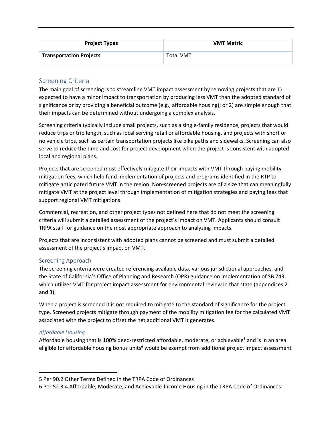| <b>Project Types</b>           | <b>VMT Metric</b> |  |
|--------------------------------|-------------------|--|
| <b>Transportation Projects</b> | <b>Total VMT</b>  |  |

## Screening Criteria

The main goal of screening is to streamline VMT impact assessment by removing projects that are 1) expected to have a minor impact to transportation by producing less VMT than the adopted standard of significance or by providing a beneficial outcome (e.g., affordable housing); or 2) are simple enough that their impacts can be determined without undergoing a complex analysis.

Screening criteria typically include small projects, such as a single‐family residence, projects that would reduce trips or trip length, such as local serving retail or affordable housing, and projects with short or no vehicle trips, such as certain transportation projects like bike paths and sidewalks. Screening can also serve to reduce the time and cost for project development when the project is consistent with adopted local and regional plans.

Projects that are screened most effectively mitigate their impacts with VMT through paying mobility mitigation fees, which help fund implementation of projects and programs identified in the RTP to mitigate anticipated future VMT in the region. Non-screened projects are of a size that can meaningfully mitigate VMT at the project level through implementation of mitigation strategies and paying fees that support regional VMT mitigations.

Commercial, recreation, and other project types not defined here that do not meet the screening criteria will submit a detailed assessment of the project's impact on VMT. Applicants should consult TRPA staff for guidance on the most appropriate approach to analyzing impacts.

Projects that are inconsistent with adopted plans cannot be screened and must submit a detailed assessment of the project's impact on VMT.

## Screening Approach

The screening criteria were created referencing available data, various jurisdictional approaches, and the State of California's Office of Planning and Research (OPR) guidance on implementation of SB 743, which utilizes VMT for project impact assessment for environmental review in that state (appendices 2 and 3).

When a project is screened it is not required to mitigate to the standard of significance for the project type. Screened projects mitigate through payment of the mobility mitigation fee for the calculated VMT associated with the project to offset the net additional VMT it generates.

## *Affordable Housing*

Affordable housing that is 100% deed-restricted affordable, moderate, or achievable<sup>5</sup> and is in an area eligible for affordable housing bonus units<sup>6</sup> would be exempt from additional project impact assessment

<sup>5</sup> Per 90.2 Other Terms Defined in the TRPA Code of Ordinances

<sup>6</sup> Per 52.3.4 Affordable, Moderate, and Achievable‐Income Housing in the TRPA Code of Ordinances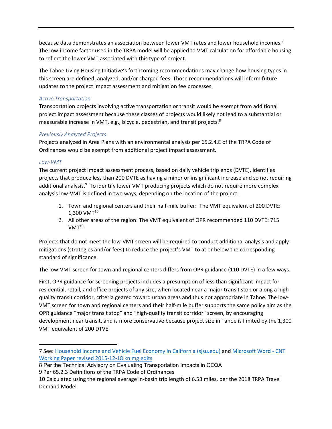because data demonstrates an association between lower VMT rates and lower household incomes.<sup>7</sup> The low-income factor used in the TRPA model will be applied to VMT calculation for affordable housing to reflect the lower VMT associated with this type of project.

The Tahoe Living Housing Initiative's forthcoming recommendations may change how housing types in this screen are defined, analyzed, and/or charged fees. Those recommendations will inform future updates to the project impact assessment and mitigation fee processes.

## *Active Transportation*

Transportation projects involving active transportation or transit would be exempt from additional project impact assessment because these classes of projects would likely not lead to a substantial or measurable increase in VMT, e.g., bicycle, pedestrian, and transit projects.<sup>8</sup>

## *Previously Analyzed Projects*

Projects analyzed in Area Plans with an environmental analysis per 65.2.4.E of the TRPA Code of Ordinances would be exempt from additional project impact assessment.

## *Low‐VMT*

The current project impact assessment process, based on daily vehicle trip ends (DVTE), identifies projects that produce less than 200 DVTE as having a minor or insignificant increase and so not requiring additional analysis.<sup>9</sup> To identify lower VMT producing projects which do not require more complex analysis low‐VMT is defined in two ways, depending on the location of the project:

- 1. Town and regional centers and their half‐mile buffer: The VMT equivalent of 200 DVTE:  $1,300$  VMT $^{10}$
- 2. All other areas of the region: The VMT equivalent of OPR recommended 110 DVTE: 715  $V$ MT $^{10}$

Projects that do not meet the low‐VMT screen will be required to conduct additional analysis and apply mitigations (strategies and/or fees) to reduce the project's VMT to at or below the corresponding standard of significance.

The low‐VMT screen for town and regional centers differs from OPR guidance (110 DVTE) in a few ways.

First, OPR guidance for screening projects includes a presumption of less than significant impact for residential, retail, and office projects of any size, when located near a major transit stop or along a high‐ quality transit corridor, criteria geared toward urban areas and thus not appropriate in Tahoe. The low‐ VMT screen for town and regional centers and their half‐mile buffer supports the same policy aim as the OPR guidance "major transit stop" and "high‐quality transit corridor" screen, by encouraging development near transit, and is more conservative because project size in Tahoe is limited by the 1,300 VMT equivalent of 200 DTVE.

<sup>7</sup> See: Household Income and Vehicle Fuel Economy in California (sjsu.edu) and Microsoft Word ‐ CNT Working Paper revised 2015‐12‐18 kn mg edits

<sup>8</sup> Per the Technical Advisory on Evaluating Transportation Impacts in CEQA 9 Per 65.2.3 Definitions of the TRPA Code of Ordinances

<sup>10</sup> Calculated using the regional average in‐basin trip length of 6.53 miles, per the 2018 TRPA Travel Demand Model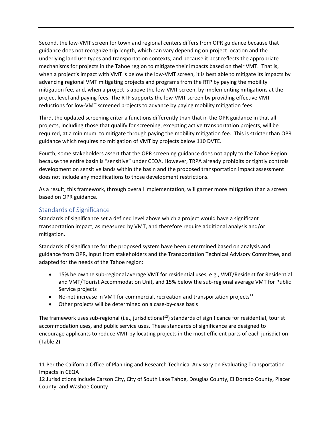Second, the low‐VMT screen for town and regional centers differs from OPR guidance because that guidance does not recognize trip length, which can vary depending on project location and the underlying land use types and transportation contexts; and because it best reflects the appropriate mechanisms for projects in the Tahoe region to mitigate their impacts based on their VMT. That is, when a project's impact with VMT is below the low-VMT screen, it is best able to mitigate its impacts by advancing regional VMT mitigating projects and programs from the RTP by paying the mobility mitigation fee, and, when a project is above the low‐VMT screen, by implementing mitigations at the project level and paying fees. The RTP supports the low‐VMT screen by providing effective VMT reductions for low‐VMT screened projects to advance by paying mobility mitigation fees.

Third, the updated screening criteria functions differently than that in the OPR guidance in that all projects, including those that qualify for screening, excepting active transportation projects, will be required, at a minimum, to mitigate through paying the mobility mitigation fee. This is stricter than OPR guidance which requires no mitigation of VMT by projects below 110 DVTE.

Fourth, some stakeholders assert that the OPR screening guidance does not apply to the Tahoe Region because the entire basin is "sensitive" under CEQA. However, TRPA already prohibits or tightly controls development on sensitive lands within the basin and the proposed transportation impact assessment does not include any modifications to those development restrictions.

As a result, this framework, through overall implementation, will garner more mitigation than a screen based on OPR guidance.

# Standards of Significance

Standards of significance set a defined level above which a project would have a significant transportation impact, as measured by VMT, and therefore require additional analysis and/or mitigation.

Standards of significance for the proposed system have been determined based on analysis and guidance from OPR, input from stakeholders and the Transportation Technical Advisory Committee, and adapted for the needs of the Tahoe region:

- 15% below the sub-regional average VMT for residential uses, e.g., VMT/Resident for Residential and VMT/Tourist Accommodation Unit, and 15% below the sub‐regional average VMT for Public Service projects
- No-net increase in VMT for commercial, recreation and transportation projects $11$
- Other projects will be determined on a case-by-case basis

The framework uses sub-regional (i.e., jurisdictional<sup>12</sup>) standards of significance for residential, tourist accommodation uses, and public service uses. These standards of significance are designed to encourage applicants to reduce VMT by locating projects in the most efficient parts of each jurisdiction (Table 2).

<sup>11</sup> Per the California Office of Planning and Research Technical Advisory on Evaluating Transportation Impacts in CEQA

<sup>12</sup> Jurisdictions include Carson City, City of South Lake Tahoe, Douglas County, El Dorado County, Placer County, and Washoe County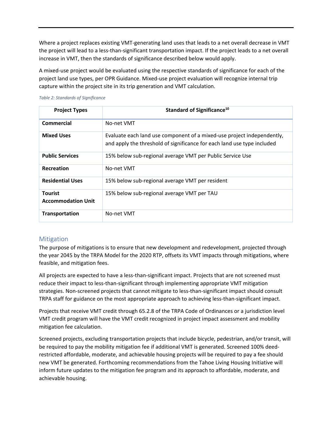Where a project replaces existing VMT‐generating land uses that leads to a net overall decrease in VMT the project will lead to a less‐than‐significant transportation impact. If the project leads to a net overall increase in VMT, then the standards of significance described below would apply.

A mixed‐use project would be evaluated using the respective standards of significance for each of the project land use types, per OPR Guidance. Mixed‐use project evaluation will recognize internal trip capture within the project site in its trip generation and VMT calculation.

| <b>Project Types</b>                        | Standard of Significance <sup>10</sup>                                                                                                            |
|---------------------------------------------|---------------------------------------------------------------------------------------------------------------------------------------------------|
| Commercial                                  | No-net VMT                                                                                                                                        |
| <b>Mixed Uses</b>                           | Evaluate each land use component of a mixed-use project independently,<br>and apply the threshold of significance for each land use type included |
| <b>Public Services</b>                      | 15% below sub-regional average VMT per Public Service Use                                                                                         |
| Recreation                                  | No-net VMT                                                                                                                                        |
| <b>Residential Uses</b>                     | 15% below sub-regional average VMT per resident                                                                                                   |
| <b>Tourist</b><br><b>Accommodation Unit</b> | 15% below sub-regional average VMT per TAU                                                                                                        |
| <b>Transportation</b>                       | No-net VMT                                                                                                                                        |

## Mitigation

The purpose of mitigations is to ensure that new development and redevelopment, projected through the year 2045 by the TRPA Model for the 2020 RTP, offsets its VMT impacts through mitigations, where feasible, and mitigation fees.

All projects are expected to have a less‐than‐significant impact. Projects that are not screened must reduce their impact to less-than-significant through implementing appropriate VMT mitigation strategies. Non‐screened projects that cannot mitigate to less‐than‐significant impact should consult TRPA staff for guidance on the most appropriate approach to achieving less-than-significant impact.

Projects that receive VMT credit through 65.2.8 of the TRPA Code of Ordinances or a jurisdiction level VMT credit program will have the VMT credit recognized in project impact assessment and mobility mitigation fee calculation.

Screened projects, excluding transportation projects that include bicycle, pedestrian, and/or transit, will be required to pay the mobility mitigation fee if additional VMT is generated. Screened 100% deed‐ restricted affordable, moderate, and achievable housing projects will be required to pay a fee should new VMT be generated. Forthcoming recommendations from the Tahoe Living Housing Initiative will inform future updates to the mitigation fee program and its approach to affordable, moderate, and achievable housing.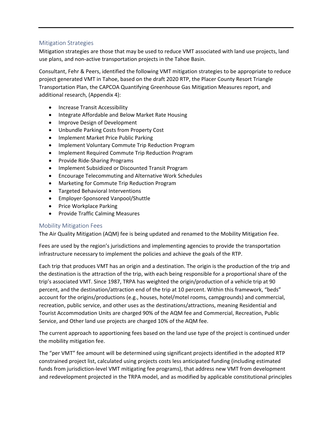## Mitigation Strategies

Mitigation strategies are those that may be used to reduce VMT associated with land use projects, land use plans, and non‐active transportation projects in the Tahoe Basin.

Consultant, Fehr & Peers, identified the following VMT mitigation strategies to be appropriate to reduce project generated VMT in Tahoe, based on the draft 2020 RTP, the Placer County Resort Triangle Transportation Plan, the CAPCOA Quantifying Greenhouse Gas Mitigation Measures report, and additional research, (Appendix 4):

- Increase Transit Accessibility
- Integrate Affordable and Below Market Rate Housing
- Improve Design of Development
- Unbundle Parking Costs from Property Cost
- Implement Market Price Public Parking
- Implement Voluntary Commute Trip Reduction Program
- Implement Required Commute Trip Reduction Program
- Provide Ride-Sharing Programs
- Implement Subsidized or Discounted Transit Program
- Encourage Telecommuting and Alternative Work Schedules
- Marketing for Commute Trip Reduction Program
- Targeted Behavioral Interventions
- Employer-Sponsored Vanpool/Shuttle
- Price Workplace Parking
- Provide Traffic Calming Measures

## Mobility Mitigation Fees

The Air Quality Mitigation (AQM) fee is being updated and renamed to the Mobility Mitigation Fee.

Fees are used by the region's jurisdictions and implementing agencies to provide the transportation infrastructure necessary to implement the policies and achieve the goals of the RTP.

Each trip that produces VMT has an origin and a destination. The origin is the production of the trip and the destination is the attraction of the trip, with each being responsible for a proportional share of the trip's associated VMT. Since 1987, TRPA has weighted the origin/production of a vehicle trip at 90 percent, and the destination/attraction end of the trip at 10 percent. Within this framework, "beds" account for the origins/productions (e.g., houses, hotel/motel rooms, campgrounds) and commercial, recreation, public service, and other uses as the destinations/attractions, meaning Residential and Tourist Accommodation Units are charged 90% of the AQM fee and Commercial, Recreation, Public Service, and Other land use projects are charged 10% of the AQM fee.

The current approach to apportioning fees based on the land use type of the project is continued under the mobility mitigation fee.

The "per VMT" fee amount will be determined using significant projects identified in the adopted RTP constrained project list, calculated using projects costs less anticipated funding (including estimated funds from jurisdiction‐level VMT mitigating fee programs), that address new VMT from development and redevelopment projected in the TRPA model, and as modified by applicable constitutional principles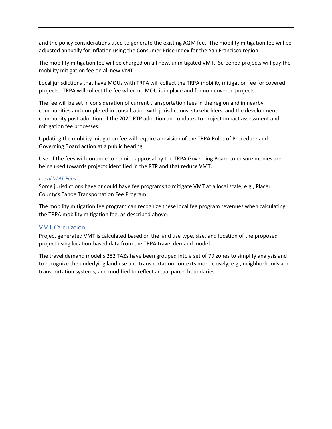and the policy considerations used to generate the existing AQM fee. The mobility mitigation fee will be adjusted annually for inflation using the Consumer Price Index for the San Francisco region.

The mobility mitigation fee will be charged on all new, unmitigated VMT. Screened projects will pay the mobility mitigation fee on all new VMT.

Local jurisdictions that have MOUs with TRPA will collect the TRPA mobility mitigation fee for covered projects. TRPA will collect the fee when no MOU is in place and for non-covered projects.

The fee will be set in consideration of current transportation fees in the region and in nearby communities and completed in consultation with jurisdictions, stakeholders, and the development community post‐adoption of the 2020 RTP adoption and updates to project impact assessment and mitigation fee processes.

Updating the mobility mitigation fee will require a revision of the TRPA Rules of Procedure and Governing Board action at a public hearing.

Use of the fees will continue to require approval by the TRPA Governing Board to ensure monies are being used towards projects identified in the RTP and that reduce VMT.

## *Local VMT Fees*

Some jurisdictions have or could have fee programs to mitigate VMT at a local scale, e.g., Placer County's Tahoe Transportation Fee Program.

The mobility mitigation fee program can recognize these local fee program revenues when calculating the TRPA mobility mitigation fee, as described above.

## VMT Calculation

Project generated VMT is calculated based on the land use type, size, and location of the proposed project using location‐based data from the TRPA travel demand model.

The travel demand model's 282 TAZs have been grouped into a set of 79 zones to simplify analysis and to recognize the underlying land use and transportation contexts more closely, e.g., neighborhoods and transportation systems, and modified to reflect actual parcel boundaries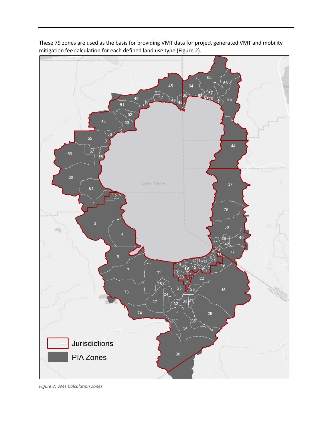

These 79 zones are used as the basis for providing VMT data for project generated VMT and mobility mitigation fee calculation for each defined land use type (Figure 2).

*Figure 2: VMT Calculation Zones*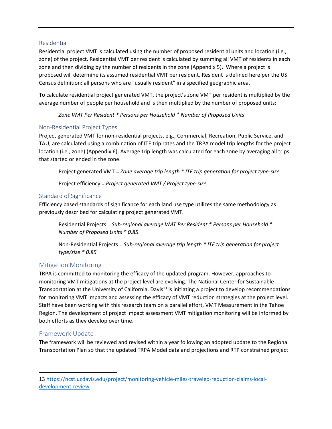## Residential

Residential project VMT is calculated using the number of proposed residential units and location (i.e., zone) of the project. Residential VMT per resident is calculated by summing all VMT of residents in each zone and then dividing by the number of residents in the zone (Appendix 5). Where a project is proposed will determine its assumed residential VMT per resident. Resident is defined here per the US Census definition: all persons who are "usually resident" in a specified geographic area.

To calculate residential project generated VMT, the project's zone VMT per resident is multiplied by the average number of people per household and is then multiplied by the number of proposed units:

*Zone VMT Per Resident \* Persons per Household \* Number of Proposed Units* 

## Non‐Residential Project Types

Project generated VMT for non‐residential projects, e.g., Commercial, Recreation, Public Service, and TAU, are calculated using a combination of ITE trip rates and the TRPA model trip lengths for the project location (i.e., zone) (Appendix 6). Average trip length was calculated for each zone by averaging all trips that started or ended in the zone.

Project generated VMT = *Zone average trip length \* ITE trip generation for project type‐size* 

Project efficiency = *Project generated VMT / Project type‐size* 

# Standard of Significance

Efficiency based standards of significance for each land use type utilizes the same methodology as previously described for calculating project generated VMT.

Residential Projects = *Sub‐regional average VMT Per Resident \* Persons per Household \* Number of Proposed Units \* 0.85* 

Non‐Residential Projects = *Sub‐regional average trip length \* ITE trip generation for project type/size \* 0.85*

# Mitigation Monitoring

TRPA is committed to monitoring the efficacy of the updated program. However, approaches to monitoring VMT mitigations at the project level are evolving. The National Center for Sustainable Transportation at the University of California, Davis<sup>13</sup> is initiating a project to develop recommendations for monitoring VMT impacts and assessing the efficacy of VMT reduction strategies at the project level. Staff have been working with this research team on a parallel effort, VMT Measurement in the Tahoe Region. The development of project impact assessment VMT mitigation monitoring will be informed by both efforts as they develop over time.

# Framework Update

The framework will be reviewed and revised within a year following an adopted update to the Regional Transportation Plan so that the updated TRPA Model data and projections and RTP constrained project

<sup>13</sup> https://ncst.ucdavis.edu/project/monitoring-vehicle-miles-traveled-reduction-claims-localdevelopment‐review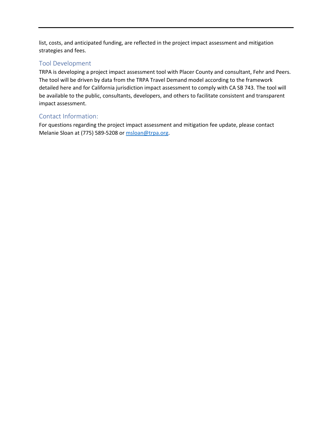list, costs, and anticipated funding, are reflected in the project impact assessment and mitigation strategies and fees.

# Tool Development

TRPA is developing a project impact assessment tool with Placer County and consultant, Fehr and Peers. The tool will be driven by data from the TRPA Travel Demand model according to the framework detailed here and for California jurisdiction impact assessment to comply with CA SB 743. The tool will be available to the public, consultants, developers, and others to facilitate consistent and transparent impact assessment.

# Contact Information:

For questions regarding the project impact assessment and mitigation fee update, please contact Melanie Sloan at (775) 589-5208 or msloan@trpa.org.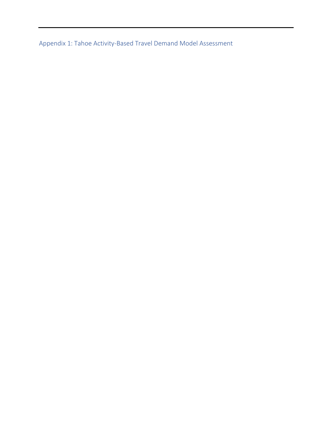Appendix 1: Tahoe Activity‐Based Travel Demand Model Assessment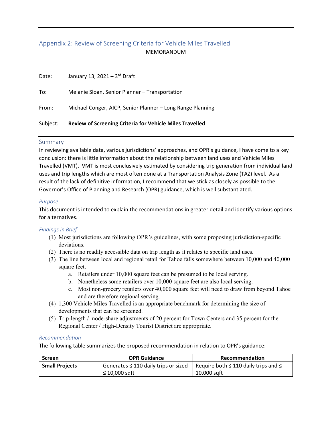# Appendix 2: Review of Screening Criteria for Vehicle Miles Travelled MEMORANDUM

| Subject: | <b>Review of Screening Criteria for Vehicle Miles Travelled</b> |
|----------|-----------------------------------------------------------------|
| From:    | Michael Conger, AICP, Senior Planner - Long Range Planning      |
| To:      | Melanie Sloan, Senior Planner - Transportation                  |
| Date:    | January 13, 2021 - $3^{rd}$ Draft                               |

## Summary

In reviewing available data, various jurisdictions' approaches, and OPR's guidance, I have come to a key conclusion: there is little information about the relationship between land uses and Vehicle Miles Travelled (VMT). VMT is most conclusively estimated by considering trip generation from individual land uses and trip lengths which are most often done at a Transportation Analysis Zone (TAZ) level. As a result of the lack of definitive information, I recommend that we stick as closely as possible to the Governor's Office of Planning and Research (OPR) guidance, which is well substantiated.

## *Purpose*

This document is intended to explain the recommendations in greater detail and identify various options for alternatives.

## *Findings in Brief*

- (1) Most jurisdictions are following OPR's guidelines, with some proposing jurisdiction-specific deviations.
- (2) There is no readily accessible data on trip length as it relates to specific land uses.
- (3) The line between local and regional retail for Tahoe falls somewhere between 10,000 and 40,000 square feet.
	- a. Retailers under 10,000 square feet can be presumed to be local serving.
	- b. Nonetheless some retailers over 10,000 square feet are also local serving.
	- c. Most non-grocery retailers over 40,000 square feet will need to draw from beyond Tahoe and are therefore regional serving.
- (4) 1,300 Vehicle Miles Travelled is an appropriate benchmark for determining the size of developments that can be screened.
- (5) Trip-length / mode-share adjustments of 20 percent for Town Centers and 35 percent for the Regional Center / High-Density Tourist District are appropriate.

#### *Recommendation*

The following table summarizes the proposed recommendation in relation to OPR's guidance:

| <b>Screen</b>         | <b>OPR Guidance</b>                       | Recommendation                                 |
|-----------------------|-------------------------------------------|------------------------------------------------|
| <b>Small Projects</b> | Generates $\leq$ 110 daily trips or sized | Require both $\leq$ 110 daily trips and $\leq$ |
|                       | $\leq$ 10,000 sqft                        | 10,000 sqft                                    |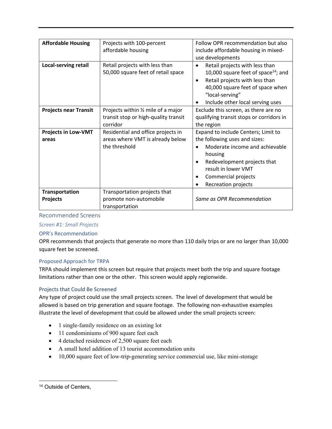| <b>Affordable Housing</b>    | Projects with 100-percent                                            | Follow OPR recommendation but also                                                                                                                                                             |  |  |
|------------------------------|----------------------------------------------------------------------|------------------------------------------------------------------------------------------------------------------------------------------------------------------------------------------------|--|--|
|                              | affordable housing                                                   | include affordable housing in mixed-                                                                                                                                                           |  |  |
|                              |                                                                      | use developments                                                                                                                                                                               |  |  |
| <b>Local-serving retail</b>  | Retail projects with less than<br>50,000 square feet of retail space | Retail projects with less than<br>$\bullet$<br>10,000 square feet of space $^{14}$ ; and<br>Retail projects with less than<br>$\bullet$<br>40,000 square feet of space when<br>"local-serving" |  |  |
|                              |                                                                      | Include other local serving uses<br>$\bullet$                                                                                                                                                  |  |  |
| <b>Projects near Transit</b> | Projects within 1/2 mile of a major                                  | Exclude this screen, as there are no                                                                                                                                                           |  |  |
|                              | transit stop or high-quality transit                                 | qualifying transit stops or corridors in                                                                                                                                                       |  |  |
|                              | corridor                                                             | the region                                                                                                                                                                                     |  |  |
| <b>Projects in Low-VMT</b>   | Residential and office projects in                                   | Expand to include Centers; Limit to                                                                                                                                                            |  |  |
| areas                        | areas where VMT is already below                                     | the following uses and sizes:                                                                                                                                                                  |  |  |
|                              | the threshold                                                        | Moderate income and achievable<br>housing                                                                                                                                                      |  |  |
|                              |                                                                      | Redevelopment projects that<br>$\bullet$                                                                                                                                                       |  |  |
|                              |                                                                      | result in lower VMT                                                                                                                                                                            |  |  |
|                              |                                                                      | Commercial projects<br>٠                                                                                                                                                                       |  |  |
|                              |                                                                      | Recreation projects<br>$\bullet$                                                                                                                                                               |  |  |
| Transportation               | Transportation projects that                                         |                                                                                                                                                                                                |  |  |
| <b>Projects</b>              | promote non-automobile<br>transportation                             | Same as OPR Recommendation                                                                                                                                                                     |  |  |

# Recommended Screens

## *Screen #1: Small Projects*

## OPR's Recommendation

OPR recommends that projects that generate no more than 110 daily trips or are no larger than 10,000 square feet be screened.

## Proposed Approach for TRPA

TRPA should implement this screen but require that projects meet both the trip and square footage limitations rather than one or the other. This screen would apply regionwide.

## Projects that Could Be Screened

Any type of project could use the small projects screen. The level of development that would be allowed is based on trip generation and square footage. The following non‐exhaustive examples illustrate the level of development that could be allowed under the small projects screen:

- 1 single-family residence on an existing lot
- 11 condominiums of 900 square feet each
- 4 detached residences of 2,500 square feet each
- A small hotel addition of 13 tourist accommodation units
- 10,000 square feet of low-trip-generating service commercial use, like mini-storage

<sup>&</sup>lt;sup>14</sup> Outside of Centers,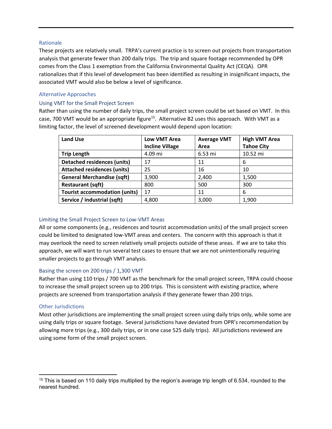## Rationale

These projects are relatively small. TRPA's current practice is to screen out projects from transportation analysis that generate fewer than 200 daily trips. The trip and square footage recommended by OPR comes from the Class 1 exemption from the California Environmental Quality Act (CEQA). OPR rationalizes that if this level of development has been identified as resulting in insignificant impacts, the associated VMT would also be below a level of significance.

## Alternative Approaches

## Using VMT for the Small Project Screen

Rather than using the number of daily trips, the small project screen could be set based on VMT. In this case, 700 VMT would be an appropriate figure<sup>15</sup>. Alternative B2 uses this approach. With VMT as a limiting factor, the level of screened development would depend upon location:

| <b>Land Use</b>                      | <b>Low VMT Area</b>    | <b>Average VMT</b> | <b>High VMT Area</b> |
|--------------------------------------|------------------------|--------------------|----------------------|
|                                      | <b>Incline Village</b> | Area               | <b>Tahoe City</b>    |
| <b>Trip Length</b>                   | 4.09 mi                | 6.53 mi            | 10.52 mi             |
| <b>Detached residences (units)</b>   | 17                     | 11                 | 6                    |
| <b>Attached residences (units)</b>   | 25                     | 16                 | 10                   |
| <b>General Merchandise (sqft)</b>    | 3,900                  | 2,400              | 1,500                |
| <b>Restaurant (sqft)</b>             | 800                    | 500                | 300                  |
| <b>Tourist accommodation (units)</b> | 17                     | 11                 | 6                    |
| Service / industrial (sqft)          | 4,800                  | 3,000              | 1,900                |

## Limiting the Small Project Screen to Low‐VMT Areas

All or some components (e.g., residences and tourist accommodation units) of the small project screen could be limited to designated low‐VMT areas and centers. The concern with this approach is that it may overlook the need to screen relatively small projects outside of these areas. If we are to take this approach, we will want to run several test cases to ensure that we are not unintentionally requiring smaller projects to go through VMT analysis.

## Basing the screen on 200 trips / 1,300 VMT

Rather than using 110 trips / 700 VMT as the benchmark for the small project screen, TRPA could choose to increase the small project screen up to 200 trips. This is consistent with existing practice, where projects are screened from transportation analysis if they generate fewer than 200 trips.

## Other Jurisdictions

Most other jurisdictions are implementing the small project screen using daily trips only, while some are using daily trips or square footage. Several jurisdictions have deviated from OPR's recommendation by allowing more trips (e.g., 300 daily trips, or in one case 525 daily trips). All jurisdictions reviewed are using some form of the small project screen.

 $15$  This is based on 110 daily trips multiplied by the region's average trip length of 6.534, rounded to the nearest hundred.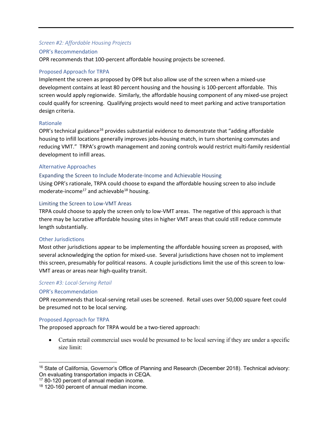#### *Screen #2: Affordable Housing Projects*

#### OPR's Recommendation

OPR recommends that 100‐percent affordable housing projects be screened.

## Proposed Approach for TRPA

Implement the screen as proposed by OPR but also allow use of the screen when a mixed‐use development contains at least 80 percent housing and the housing is 100-percent affordable. This screen would apply regionwide. Similarly, the affordable housing component of any mixed‐use project could qualify for screening. Qualifying projects would need to meet parking and active transportation design criteria.

## Rationale

OPR's technical guidance<sup>16</sup> provides substantial evidence to demonstrate that "adding affordable housing to infill locations generally improves jobs-housing match, in turn shortening commutes and reducing VMT." TRPA's growth management and zoning controls would restrict multi‐family residential development to infill areas.

## Alternative Approaches

#### Expanding the Screen to Include Moderate‐Income and Achievable Housing

Using OPR's rationale, TRPA could choose to expand the affordable housing screen to also include moderate-income<sup>17</sup> and achievable<sup>18</sup> housing.

#### Limiting the Screen to Low‐VMT Areas

TRPA could choose to apply the screen only to low‐VMT areas. The negative of this approach is that there may be lucrative affordable housing sites in higher VMT areas that could still reduce commute length substantially.

## Other Jurisdictions

Most other jurisdictions appear to be implementing the affordable housing screen as proposed, with several acknowledging the option for mixed-use. Several jurisdictions have chosen not to implement this screen, presumably for political reasons. A couple jurisdictions limit the use of this screen to low‐ VMT areas or areas near high‐quality transit.

## *Screen #3: Local‐Serving Retail*

## OPR's Recommendation

OPR recommends that local‐serving retail uses be screened. Retail uses over 50,000 square feet could be presumed not to be local serving.

#### Proposed Approach for TRPA

The proposed approach for TRPA would be a two-tiered approach:

 Certain retail commercial uses would be presumed to be local serving if they are under a specific size limit:

<sup>17</sup> 80-120 percent of annual median income.

<sup>16</sup> State of California, Governor's Office of Planning and Research (December 2018). Technical advisory: On evaluating transportation impacts in CEQA.

<sup>&</sup>lt;sup>18</sup> 120-160 percent of annual median income.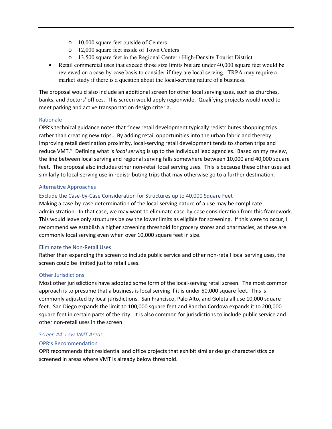- o 10,000 square feet outside of Centers
- o 12,000 square feet inside of Town Centers
- o 13,500 square feet in the Regional Center / High-Density Tourist District
- Retail commercial uses that exceed those size limits but are under 40,000 square feet would be reviewed on a case-by-case basis to consider if they are local serving. TRPA may require a market study if there is a question about the local-serving nature of a business.

The proposal would also include an additional screen for other local serving uses, such as churches, banks, and doctors' offices. This screen would apply regionwide. Qualifying projects would need to meet parking and active transportation design criteria.

#### Rationale

OPR's technical guidance notes that "new retail development typically redistributes shopping trips rather than creating new trips… By adding retail opportunities into the urban fabric and thereby improving retail destination proximity, local‐serving retail development tends to shorten trips and reduce VMT." Defining what is *local serving* is up to the individual lead agencies. Based on my review, the line between local serving and regional serving falls somewhere between 10,000 and 40,000 square feet. The proposal also includes other non-retail local serving uses. This is because these other uses act similarly to local‐serving use in redistributing trips that may otherwise go to a further destination.

#### Alternative Approaches

#### Exclude the Case‐by‐Case Consideration for Structures up to 40,000 Square Feet

Making a case‐by‐case determination of the local‐serving nature of a use may be complicate administration. In that case, we may want to eliminate case‐by‐case consideration from this framework. This would leave only structures below the lower limits as eligible for screening. If this were to occur, I recommend we establish a higher screening threshold for grocery stores and pharmacies, as these are commonly local serving even when over 10,000 square feet in size.

#### Eliminate the Non‐Retail Uses

Rather than expanding the screen to include public service and other non‐retail local serving uses, the screen could be limited just to retail uses.

#### Other Jurisdictions

Most other jurisdictions have adopted some form of the local-serving retail screen. The most common approach is to presume that a business is local serving if it is under 50,000 square feet. This is commonly adjusted by local jurisdictions. San Francisco, Palo Alto, and Goleta all use 10,000 square feet. San Diego expands the limit to 100,000 square feet and Rancho Cordova expands it to 200,000 square feet in certain parts of the city. It is also common for jurisdictions to include public service and other non‐retail uses in the screen.

#### *Screen #4: Low‐VMT Areas*

#### OPR's Recommendation

OPR recommends that residential and office projects that exhibit similar design characteristics be screened in areas where VMT is already below threshold.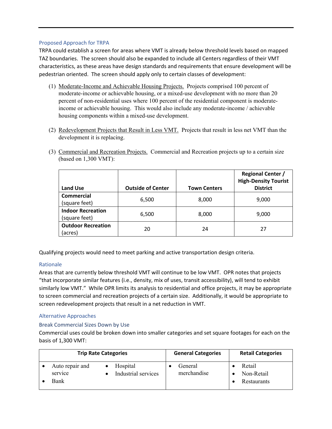## Proposed Approach for TRPA

TRPA could establish a screen for areas where VMT is already below threshold levels based on mapped TAZ boundaries. The screen should also be expanded to include all Centers regardless of their VMT characteristics, as these areas have design standards and requirements that ensure development will be pedestrian oriented. The screen should apply only to certain classes of development:

- (1) Moderate-Income and Achievable Housing Projects. Projects comprised 100 percent of moderate-income or achievable housing, or a mixed-use development with no more than 20 percent of non-residential uses where 100 percent of the residential component is moderateincome or achievable housing. This would also include any moderate-income / achievable housing components within a mixed-use development.
- (2) Redevelopment Projects that Result in Less VMT. Projects that result in less net VMT than the development it is replacing.

| <b>Land Use</b>                           | <b>Outside of Center</b> | <b>Town Centers</b> | <b>Regional Center /</b><br><b>High-Density Tourist</b><br><b>District</b> |  |
|-------------------------------------------|--------------------------|---------------------|----------------------------------------------------------------------------|--|
| <b>Commercial</b><br>(square feet)        | 6,500                    | 8,000               | 9,000                                                                      |  |
| <b>Indoor Recreation</b><br>(square feet) | 6,500                    | 8,000               | 9,000                                                                      |  |
| <b>Outdoor Recreation</b><br>(acres)      | 20                       | 24                  | 27                                                                         |  |

(3) Commercial and Recreation Projects. Commercial and Recreation projects up to a certain size (based on 1,300 VMT):

Qualifying projects would need to meet parking and active transportation design criteria.

## Rationale

Areas that are currently below threshold VMT will continue to be low VMT. OPR notes that projects "that incorporate similar features (i.e., density, mix of uses, transit accessibility), will tend to exhibit similarly low VMT." While OPR limits its analysis to residential and office projects, it may be appropriate to screen commercial and recreation projects of a certain size. Additionally, it would be appropriate to screen redevelopment projects that result in a net reduction in VMT.

## Alternative Approaches

## Break Commercial Sizes Down by Use

Commercial uses could be broken down into smaller categories and set square footages for each on the basis of 1,300 VMT:

| <b>Trip Rate Categories</b> |                            | <b>General Categories</b>       | <b>Retail Categories</b> |                      |
|-----------------------------|----------------------------|---------------------------------|--------------------------|----------------------|
|                             | Auto repair and<br>service | Hospital<br>Industrial services | General<br>merchandise   | Retail<br>Non-Retail |
|                             | Bank                       |                                 |                          | Restaurants          |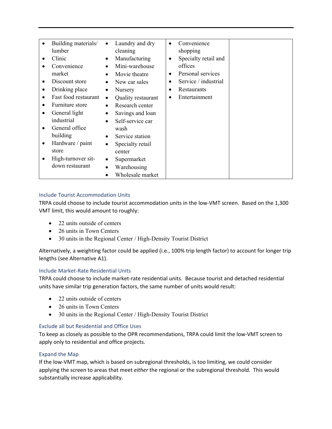| $\bullet$ | Building materials/  | $\bullet$ | Laundry and dry    | $\bullet$ | Convenience          |  |
|-----------|----------------------|-----------|--------------------|-----------|----------------------|--|
|           | lumber               |           | cleaning           |           | shopping             |  |
|           | Clinic               | $\bullet$ | Manufacturing      | $\bullet$ | Specialty retail and |  |
|           | Convenience          | $\bullet$ | Mini-warehouse     |           | offices              |  |
|           |                      |           |                    |           |                      |  |
|           | market               |           | Movie theatre      | ٠         | Personal services    |  |
| $\bullet$ | Discount store       |           | New car sales      |           | Service / industrial |  |
| $\bullet$ | Drinking place       | $\bullet$ | Nursery            | $\bullet$ | Restaurants          |  |
| $\bullet$ | Fast food restaurant | $\bullet$ | Quality restaurant | ٠         | Entertainment        |  |
| $\bullet$ | Furniture store      | $\bullet$ | Research center    |           |                      |  |
| $\bullet$ | General light        | $\bullet$ | Savings and loan   |           |                      |  |
|           | industrial           | $\bullet$ | Self-service car   |           |                      |  |
| ٠         | General office       |           | wash               |           |                      |  |
|           | building             | $\bullet$ | Service station    |           |                      |  |
| $\bullet$ | Hardware / paint     | $\bullet$ | Specialty retail   |           |                      |  |
|           | store                |           | center             |           |                      |  |
| ٠         | High-turnover sit-   | $\bullet$ | Supermarket        |           |                      |  |
|           | down restaurant      |           | Warehousing        |           |                      |  |
|           |                      |           | Wholesale market   |           |                      |  |

## Include Tourist Accommodation Units

TRPA could choose to include tourist accommodation units in the low‐VMT screen. Based on the 1,300 VMT limit, this would amount to roughly:

- 22 units outside of centers
- 26 units in Town Centers
- 30 units in the Regional Center / High-Density Tourist District

Alternatively, a weighting factor could be applied (i.e., 100% trip length factor) to account for longer trip lengths (see Alternative A1).

## Include Market‐Rate Residential Units

TRPA could choose to include market‐rate residential units. Because tourist and detached residential units have similar trip generation factors, the same number of units would result:

- 22 units outside of centers
- 26 units in Town Centers
- 30 units in the Regional Center / High-Density Tourist District

## Exclude all but Residential and Office Uses

To keep as closely as possible to the OPR recommendations, TRPA could limit the low‐VMT screen to apply only to residential and office projects.

## Expand the Map

If the low‐VMT map, which is based on subregional thresholds, is too limiting, we could consider applying the screen to areas that meet *either* the regional or the subregional threshold. This would substantially increase applicability.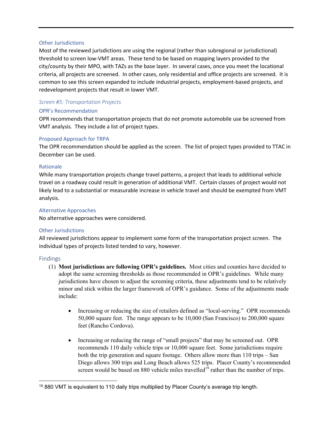#### Other Jurisdictions

Most of the reviewed jurisdictions are using the regional (rather than subregional or jurisdictional) threshold to screen low‐VMT areas. These tend to be based on mapping layers provided to the city/county by their MPO, with TAZs as the base layer. In several cases, once you meet the locational criteria, all projects are screened. In other cases, only residential and office projects are screened. It is common to see this screen expanded to include industrial projects, employment‐based projects, and redevelopment projects that result in lower VMT.

## *Screen #5: Transportation Projects*

## OPR's Recommendation

OPR recommends that transportation projects that do not promote automobile use be screened from VMT analysis. They include a list of project types.

## Proposed Approach for TRPA

The OPR recommendation should be applied as the screen. The list of project types provided to TTAC in December can be used.

## Rationale

While many transportation projects change travel patterns, a project that leads to additional vehicle travel on a roadway could result in generation of additional VMT. Certain classes of project would not likely lead to a substantial or measurable increase in vehicle travel and should be exempted from VMT analysis.

## Alternative Approaches

No alternative approaches were considered.

## Other Jurisdictions

All reviewed jurisdictions appear to implement some form of the transportation project screen. The individual types of projects listed tended to vary, however.

## Findings

- (1) **Most jurisdictions are following OPR's guidelines.** Most cities and counties have decided to adopt the same screening thresholds as those recommended in OPR's guidelines. While many jurisdictions have chosen to adjust the screening criteria, these adjustments tend to be relatively minor and stick within the larger framework of OPR's guidance. Some of the adjustments made include:
	- Increasing or reducing the size of retailers defined as "local-serving." OPR recommends 50,000 square feet. The range appears to be 10,000 (San Francisco) to 200,000 square feet (Rancho Cordova).
	- Increasing or reducing the range of "small projects" that may be screened out. OPR recommends 110 daily vehicle trips or 10,000 square feet. Some jurisdictions require both the trip generation and square footage. Others allow more than 110 trips – San Diego allows 300 trips and Long Beach allows 525 trips. Placer County's recommended screen would be based on 880 vehicle miles travelled<sup>19</sup> rather than the number of trips.

 $19880$  VMT is equivalent to 110 daily trips multiplied by Placer County's average trip length.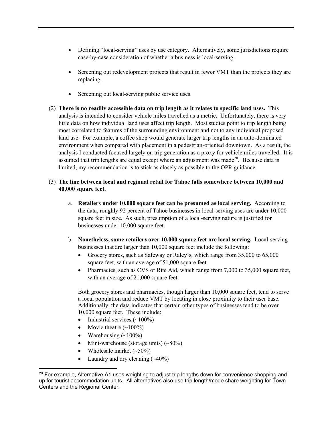- Defining "local-serving" uses by use category. Alternatively, some jurisdictions require case-by-case consideration of whether a business is local-serving.
- Screening out redevelopment projects that result in fewer VMT than the projects they are replacing.
- Screening out local-serving public service uses.
- (2) **There is no readily accessible data on trip length as it relates to specific land uses.** This analysis is intended to consider vehicle miles travelled as a metric. Unfortunately, there is very little data on how individual land uses affect trip length. Most studies point to trip length being most correlated to features of the surrounding environment and not to any individual proposed land use. For example, a coffee shop would generate larger trip lengths in an auto-dominated environment when compared with placement in a pedestrian-oriented downtown. As a result, the analysis I conducted focused largely on trip generation as a proxy for vehicle miles travelled. It is assumed that trip lengths are equal except where an adjustment was made<sup>20</sup>. Because data is limited, my recommendation is to stick as closely as possible to the OPR guidance.
- (3) **The line between local and regional retail for Tahoe falls somewhere between 10,000 and 40,000 square feet.**
	- a. **Retailers under 10,000 square feet can be presumed as local serving.** According to the data, roughly 92 percent of Tahoe businesses in local-serving uses are under 10,000 square feet in size. As such, presumption of a local-serving nature is justified for businesses under 10,000 square feet.
	- b. **Nonetheless, some retailers over 10,000 square feet are local serving.** Local-serving businesses that are larger than 10,000 square feet include the following:
		- Grocery stores, such as Safeway or Raley's, which range from 35,000 to 65,000 square feet, with an average of 51,000 square feet.
		- Pharmacies, such as CVS or Rite Aid, which range from 7,000 to 35,000 square feet, with an average of 21,000 square feet.

Both grocery stores and pharmacies, though larger than 10,000 square feet, tend to serve a local population and reduce VMT by locating in close proximity to their user base. Additionally, the data indicates that certain other types of businesses tend to be over 10,000 square feet. These include:

- Industrial services  $(\sim 100\%)$
- Movie theatre  $(\sim 100\%)$
- Warehousing  $(\sim 100\%)$
- Mini-warehouse (storage units) (~80%)
- Wholesale market  $(\sim 50\%)$
- Laundry and dry cleaning  $(\sim40\%)$

<sup>&</sup>lt;sup>20</sup> For example, Alternative A1 uses weighting to adjust trip lengths down for convenience shopping and up for tourist accommodation units. All alternatives also use trip length/mode share weighting for Town Centers and the Regional Center.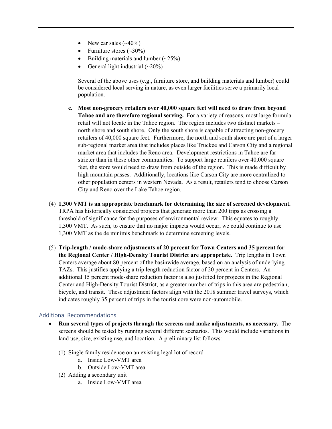- New car sales  $(\sim40\%)$
- Furniture stores  $(\sim 30\%)$
- Building materials and lumber  $(\sim 25\%)$
- General light industrial  $(\sim 20\%)$

Several of the above uses (e.g., furniture store, and building materials and lumber) could be considered local serving in nature, as even larger facilities serve a primarily local population.

- **c. Most non-grocery retailers over 40,000 square feet will need to draw from beyond Tahoe and are therefore regional serving.** For a variety of reasons, most large formula retail will not locate in the Tahoe region. The region includes two distinct markets – north shore and south shore. Only the south shore is capable of attracting non-grocery retailers of 40,000 square feet. Furthermore, the north and south shore are part of a larger sub-regional market area that includes places like Truckee and Carson City and a regional market area that includes the Reno area. Development restrictions in Tahoe are far stricter than in these other communities. To support large retailers over 40,000 square feet, the store would need to draw from outside of the region. This is made difficult by high mountain passes. Additionally, locations like Carson City are more centralized to other population centers in western Nevada. As a result, retailers tend to choose Carson City and Reno over the Lake Tahoe region.
- (4) **1,300 VMT is an appropriate benchmark for determining the size of screened development.** TRPA has historically considered projects that generate more than 200 trips as crossing a threshold of significance for the purposes of environmental review. This equates to roughly 1,300 VMT. As such, to ensure that no major impacts would occur, we could continue to use 1,300 VMT as the de minimis benchmark to determine screening levels.
- (5) **Trip-length / mode-share adjustments of 20 percent for Town Centers and 35 percent for the Regional Center / High-Density Tourist District are appropriate.** Trip lengths in Town Centers average about 80 percent of the basinwide average, based on an analysis of underlying TAZs. This justifies applying a trip length reduction factor of 20 percent in Centers. An additional 15 percent mode-share reduction factor is also justified for projects in the Regional Center and High-Density Tourist District, as a greater number of trips in this area are pedestrian, bicycle, and transit. These adjustment factors align with the 2018 summer travel surveys, which indicates roughly 35 percent of trips in the tourist core were non-automobile.

## Additional Recommendations

- **Run several types of projects through the screens and make adjustments, as necessary.** The screens should be tested by running several different scenarios. This would include variations in land use, size, existing use, and location. A preliminary list follows:
	- (1) Single family residence on an existing legal lot of record
		- a. Inside Low-VMT area
		- b. Outside Low-VMT area
	- (2) Adding a secondary unit
		- a. Inside Low-VMT area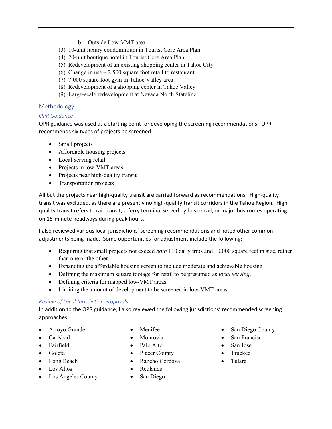- b. Outside Low-VMT area
- (3) 10-unit luxury condominium in Tourist Core Area Plan
- (4) 20-unit boutique hotel in Tourist Core Area Plan
- (5) Redevelopment of an existing shopping center in Tahoe City
- (6) Change in use  $-2,500$  square foot retail to restaurant
- (7) 7,000 square foot gym in Tahoe Valley area
- (8) Redevelopment of a shopping center in Tahoe Valley
- (9) Large-scale redevelopment at Nevada North Stateline

## Methodology

## *OPR Guidance*

OPR guidance was used as a starting point for developing the screening recommendations. OPR recommends six types of projects be screened:

- Small projects
- Affordable housing projects
- Local-serving retail
- Projects in low-VMT areas
- Projects near high-quality transit
- Transportation projects

All but the projects near high‐quality transit are carried forward as recommendations. High‐quality transit was excluded, as there are presently no high-quality transit corridors in the Tahoe Region. High quality transit refers to rail transit, a ferry terminal served by bus or rail, or major bus routes operating on 15‐minute headways during peak hours.

I also reviewed various local jurisdictions' screening recommendations and noted other common adjustments being made. Some opportunities for adjustment include the following:

- Requiring that small projects not exceed *both* 110 daily trips and 10,000 square feet in size, rather than one or the other.
- Expanding the affordable housing screen to include moderate and achievable housing
- Defining the maximum square footage for retail to be presumed as *local serving*.
- Defining criteria for mapped low-VMT areas.
- Limiting the amount of development to be screened in low-VMT areas.

## *Review of Local Jurisdiction Proposals*

In addition to the OPR guidance, I also reviewed the following jurisdictions' recommended screening approaches:

- Arroyo Grande
- Carlsbad
- Fairfield
- Goleta
- Long Beach
- Los Altos
- Los Angeles County
- Menifee
- Monrovia
- Palo Alto
- Placer County
- Rancho Cordova
- Redlands
- San Diego
- San Diego County
- San Francisco
- San Jose
- Truckee
- Tulare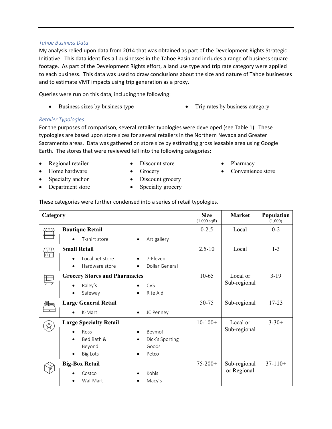#### *Tahoe Business Data*

My analysis relied upon data from 2014 that was obtained as part of the Development Rights Strategic Initiative. This data identifies all businesses in the Tahoe Basin and includes a range of business square footage. As part of the Development Rights effort, a land use type and trip rate category were applied to each business. This data was used to draw conclusions about the size and nature of Tahoe businesses and to estimate VMT impacts using trip generation as a proxy.

Queries were run on this data, including the following:

- Business sizes by business type **Trip rates by business category** 
	-

## *Retailer Typologies*

For the purposes of comparison, several retailer typologies were developed (see Table 1). These typologies are based upon store sizes for several retailers in the Northern Nevada and Greater Sacramento areas. Data was gathered on store size by estimating gross leasable area using Google Earth. The stores that were reviewed fell into the following categories:

- Regional retailer
- Discount store • Grocery
- Pharmacy
- Convenience store
- Home hardware Specialty anchor
- Discount grocery
- Department store
- Specialty grocery

|  |  |  | These categories were further condensed into a series of retail typologies. |
|--|--|--|-----------------------------------------------------------------------------|
|  |  |  |                                                                             |
|  |  |  |                                                                             |

| Category                |                                                                                                                                 | <b>Size</b><br>$(1,000 \text{ sqft})$ | <b>Market</b>               | Population<br>(1,000) |
|-------------------------|---------------------------------------------------------------------------------------------------------------------------------|---------------------------------------|-----------------------------|-----------------------|
| aw                      | <b>Boutique Retail</b>                                                                                                          | $0 - 2.5$                             | Local                       | $0 - 2$               |
|                         | T-shirt store<br>Art gallery<br>$\bullet$<br>$\bullet$                                                                          |                                       |                             |                       |
| 価                       | <b>Small Retail</b>                                                                                                             | $2.5 - 10$                            | Local                       | $1 - 3$               |
|                         | Local pet store<br>7-Eleven<br>Hardware store<br>Dollar General                                                                 |                                       |                             |                       |
| 囲<br>$\overline{\circ}$ | <b>Grocery Stores and Pharmacies</b><br>Raley's<br><b>CVS</b><br>Safeway<br>Rite Aid<br>$\bullet$                               | $10-65$                               | Local or<br>Sub-regional    | $3-19$                |
| Æə                      | <b>Large General Retail</b><br>K-Mart<br>JC Penney<br>$\bullet$                                                                 | 50-75                                 | Sub-regional                | $17 - 23$             |
|                         | <b>Large Specialty Retail</b><br>Ross<br>Beymo!<br>Bed Bath &<br>Dick's Sporting<br>Goods<br>Beyond<br><b>Big Lots</b><br>Petco | $10-100+$                             | Local or<br>Sub-regional    | $3 - 30 +$            |
|                         | <b>Big-Box Retail</b><br>Kohls<br>Costco<br>Wal-Mart<br>Macy's                                                                  | $75 - 200 +$                          | Sub-regional<br>or Regional | $37-110+$             |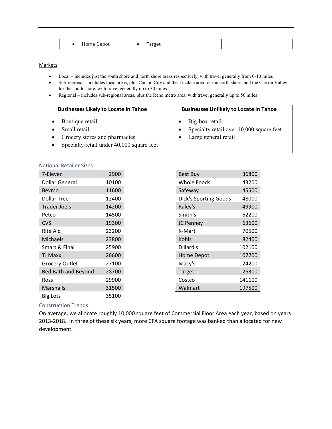| `arget<br><b>COMMA</b><br>Depot<br><b>H</b> ome |  |  |  |  |  |  |  |  |
|-------------------------------------------------|--|--|--|--|--|--|--|--|
|-------------------------------------------------|--|--|--|--|--|--|--|--|

#### **Markets**

- Local includes just the south shore and north shore areas respectively, with travel generally from 0-10 miles
- Sub-regional includes local areas, plus Carson City and the Truckee area for the north shore, and the Carson Valley for the south shore, with travel generally up to 30 miles
- Regional includes sub-regional areas, plus the Reno metro area, with travel generally up to 50 miles

| <b>Businesses Likely to Locate in Tahoe</b> | <b>Businesses Unlikely to Locate in Tahoe</b>                            |  |  |
|---------------------------------------------|--------------------------------------------------------------------------|--|--|
| Boutique retail<br>Small retail             | $\bullet$ Big-box retail<br>• Specialty retail over $40,000$ square feet |  |  |
| Grocery stores and pharmacies               | • Large general retail                                                   |  |  |

Specialty retail under 40,000 square feet

#### National Retailer Sizes

| 7-Eleven              | 2900  |
|-----------------------|-------|
| Dollar General        | 10100 |
| Beymo                 | 11600 |
| <b>Dollar Tree</b>    | 12400 |
| Trader Joe's          | 14200 |
| Petco                 | 14500 |
| <b>CVS</b>            | 19300 |
| Rite Aid              | 23200 |
| <b>Michaels</b>       | 23800 |
| Smart & Final         | 25900 |
| <b>TJ Maxx</b>        | 26600 |
| <b>Grocery Outlet</b> | 27100 |
| Bed Bath and Beyond   | 28700 |
| Ross                  | 29900 |
| <b>Marshalls</b>      | 31500 |
| <b>Big Lots</b>       | 35100 |

## Construction Trends

On average, we allocate roughly 10,000 square feet of Commercial Floor Area each year, based on years 2013-2018. In three of these six years, more CFA square footage was banked than allocated for new development.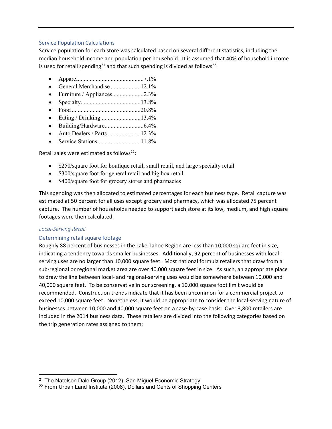#### Service Population Calculations

Service population for each store was calculated based on several different statistics, including the median household income and population per household. It is assumed that 40% of household income is used for retail spending<sup>21</sup> and that such spending is divided as follows<sup>22</sup>:

- Apparel ............................................ 7.1%
- General Merchandise .................... 12.1%
- Furniture / Appliances.....................2.3%
- Specialty ........................................ 13.8%
- Food .............................................. 20.8%
- Eating / Drinking ...............................13.4%
- Building/Hardware .......................... 6.4%
- Auto Dealers / Parts ...........................12.3%
- Service Stations ............................. 11.8%

Retail sales were estimated as follows<sup>22</sup>:

- \$250/square foot for boutique retail, small retail, and large specialty retail
- \$300/square foot for general retail and big box retail
- \$400/square foot for grocery stores and pharmacies

This spending was then allocated to estimated percentages for each business type. Retail capture was estimated at 50 percent for all uses except grocery and pharmacy, which was allocated 75 percent capture. The number of households needed to support each store at its low, medium, and high square footages were then calculated.

## *Local‐Serving Retail*

## Determining retail square footage

Roughly 88 percent of businesses in the Lake Tahoe Region are less than 10,000 square feet in size, indicating a tendency towards smaller businesses. Additionally, 92 percent of businesses with localserving uses are no larger than 10,000 square feet. Most national formula retailers that draw from a sub‐regional or regional market area are over 40,000 square feet in size. As such, an appropriate place to draw the line between local‐ and regional‐serving uses would be somewhere between 10,000 and 40,000 square feet. To be conservative in our screening, a 10,000 square foot limit would be recommended. Construction trends indicate that it has been uncommon for a commercial project to exceed 10,000 square feet. Nonetheless, it would be appropriate to consider the local-serving nature of businesses between 10,000 and 40,000 square feet on a case‐by‐case basis. Over 3,800 retailers are included in the 2014 business data. These retailers are divided into the following categories based on the trip generation rates assigned to them:

<sup>&</sup>lt;sup>21</sup> The Natelson Dale Group (2012). San Miguel Economic Strategy

<sup>&</sup>lt;sup>22</sup> From Urban Land Institute (2008). Dollars and Cents of Shopping Centers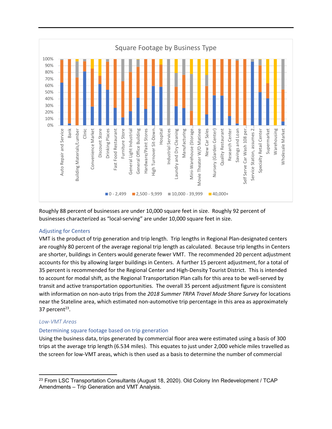

Roughly 88 percent of businesses are under 10,000 square feet in size. Roughly 92 percent of businesses characterized as "local‐serving" are under 10,000 square feet in size.

## Adjusting for Centers

VMT is the product of trip generation and trip length. Trip lengths in Regional Plan‐designated centers are roughly 80 percent of the average regional trip length as calculated. Because trip lengths in Centers are shorter, buildings in Centers would generate fewer VMT. The recommended 20 percent adjustment accounts for this by allowing larger buildings in Centers. A further 15 percent adjustment, for a total of 35 percent is recommended for the Regional Center and High‐Density Tourist District. This is intended to account for modal shift, as the Regional Transportation Plan calls for this area to be well‐served by transit and active transportation opportunities. The overall 35 percent adjustment figure is consistent with information on non‐auto trips from the *2018 Summer TRPA Travel Mode Share Survey* for locations near the Stateline area, which estimated non‐automotive trip percentage in this area as approximately 37 percent $23$ .

## *Low‐VMT Areas*

## Determining square footage based on trip generation

Using the business data, trips generated by commercial floor area were estimated using a basis of 300 trips at the average trip length (6.534 miles). This equates to just under 2,000 vehicle miles travelled as the screen for low‐VMT areas, which is then used as a basis to determine the number of commercial

<sup>&</sup>lt;sup>23</sup> From LSC Transportation Consultants (August 18, 2020). Old Colony Inn Redevelopment / TCAP Amendments – Trip Generation and VMT Analysis.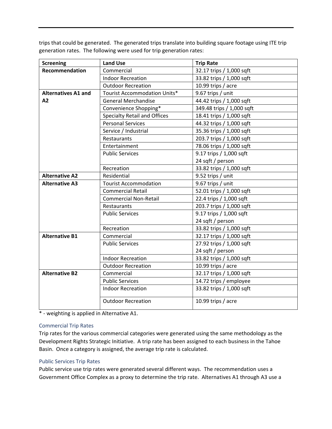trips that could be generated. The generated trips translate into building square footage using ITE trip generation rates. The following were used for trip generation rates:

| <b>Screening</b>           | <b>Land Use</b>                     | <b>Trip Rate</b>          |
|----------------------------|-------------------------------------|---------------------------|
| Recommendation             | Commercial                          | 32.17 trips / 1,000 sqft  |
|                            | <b>Indoor Recreation</b>            | 33.82 trips / 1,000 sqft  |
|                            | <b>Outdoor Recreation</b>           | 10.99 trips / acre        |
| <b>Alternatives A1 and</b> | Tourist Accommodation Units*        | 9.67 trips / unit         |
| A2                         | <b>General Merchandise</b>          | 44.42 trips / 1,000 sqft  |
|                            | Convenience Shopping*               | 349.48 trips / 1,000 sqft |
|                            | <b>Specialty Retail and Offices</b> | 18.41 trips / 1,000 sqft  |
|                            | <b>Personal Services</b>            | 44.32 trips / 1,000 sqft  |
|                            | Service / Industrial                | 35.36 trips / 1,000 sqft  |
|                            | Restaurants                         | 203.7 trips / 1,000 sqft  |
|                            | Entertainment                       | 78.06 trips / 1,000 sqft  |
|                            | <b>Public Services</b>              | 9.17 trips / 1,000 sqft   |
|                            |                                     | 24 sqft / person          |
|                            | Recreation                          | 33.82 trips / 1,000 sqft  |
| <b>Alternative A2</b>      | Residential                         | 9.52 trips / unit         |
| <b>Alternative A3</b>      | <b>Tourist Accommodation</b>        | 9.67 trips / unit         |
|                            | <b>Commercial Retail</b>            | 52.01 trips / 1,000 sqft  |
|                            | <b>Commercial Non-Retail</b>        | 22.4 trips / 1,000 sqft   |
|                            | Restaurants                         | 203.7 trips / 1,000 sqft  |
|                            | <b>Public Services</b>              | 9.17 trips / 1,000 sqft   |
|                            |                                     | 24 sqft / person          |
|                            | Recreation                          | 33.82 trips / 1,000 sqft  |
| <b>Alternative B1</b>      | Commercial                          | 32.17 trips / 1,000 sqft  |
|                            | <b>Public Services</b>              | 27.92 trips / 1,000 sqft  |
|                            |                                     | 24 sqft / person          |
|                            | <b>Indoor Recreation</b>            | 33.82 trips / 1,000 sqft  |
|                            | <b>Outdoor Recreation</b>           | 10.99 trips / acre        |
| <b>Alternative B2</b>      | Commercial                          | 32.17 trips / 1,000 sqft  |
|                            | <b>Public Services</b>              | 14.72 trips / employee    |
|                            | <b>Indoor Recreation</b>            | 33.82 trips / 1,000 sqft  |
|                            | <b>Outdoor Recreation</b>           | 10.99 trips / acre        |

\* ‐ weighting is applied in Alternative A1.

## Commercial Trip Rates

Trip rates for the various commercial categories were generated using the same methodology as the Development Rights Strategic Initiative. A trip rate has been assigned to each business in the Tahoe Basin. Once a category is assigned, the average trip rate is calculated.

## Public Services Trip Rates

Public service use trip rates were generated several different ways. The recommendation uses a Government Office Complex as a proxy to determine the trip rate. Alternatives A1 through A3 use a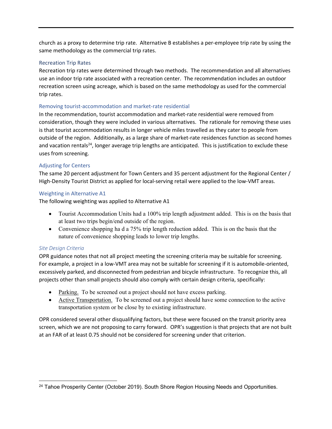church as a proxy to determine trip rate. Alternative B establishes a per-employee trip rate by using the same methodology as the commercial trip rates.

## Recreation Trip Rates

Recreation trip rates were determined through two methods. The recommendation and all alternatives use an indoor trip rate associated with a recreation center. The recommendation includes an outdoor recreation screen using acreage, which is based on the same methodology as used for the commercial trip rates.

## Removing tourist‐accommodation and market‐rate residential

In the recommendation, tourist accommodation and market-rate residential were removed from consideration, though they were included in various alternatives. The rationale for removing these uses is that tourist accommodation results in longer vehicle miles travelled as they cater to people from outside of the region. Additionally, as a large share of market‐rate residences function as second homes and vacation rentals<sup>24</sup>, longer average trip lengths are anticipated. This is justification to exclude these uses from screening.

## Adjusting for Centers

The same 20 percent adjustment for Town Centers and 35 percent adjustment for the Regional Center / High-Density Tourist District as applied for local-serving retail were applied to the low-VMT areas.

## Weighting in Alternative A1

The following weighting was applied to Alternative A1

- Tourist Accommodation Units had a 100% trip length adjustment added. This is on the basis that at least two trips begin/end outside of the region.
- Convenience shopping ha d a 75% trip length reduction added. This is on the basis that the nature of convenience shopping leads to lower trip lengths.

## *Site Design Criteria*

OPR guidance notes that not all project meeting the screening criteria may be suitable for screening. For example, a project in a low‐VMT area may not be suitable for screening if it is automobile‐oriented, excessively parked, and disconnected from pedestrian and bicycle infrastructure. To recognize this, all projects other than small projects should also comply with certain design criteria, specifically:

- Parking. To be screened out a project should not have excess parking.
- Active Transportation. To be screened out a project should have some connection to the active transportation system or be close by to existing infrastructure.

OPR considered several other disqualifying factors, but these were focused on the transit priority area screen, which we are not proposing to carry forward. OPR's suggestion is that projects that are not built at an FAR of at least 0.75 should not be considered for screening under that criterion.

<sup>&</sup>lt;sup>24</sup> Tahoe Prosperity Center (October 2019). South Shore Region Housing Needs and Opportunities.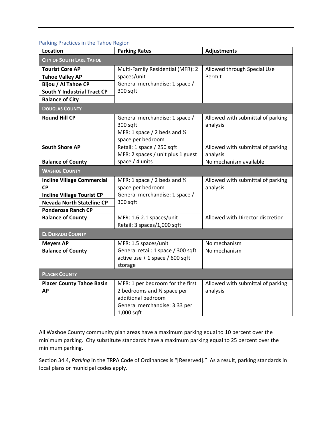| <b>I dining Fractices III the Tanoc Region</b> |                                                                                                                                       |                                               |
|------------------------------------------------|---------------------------------------------------------------------------------------------------------------------------------------|-----------------------------------------------|
| Location                                       | <b>Parking Rates</b>                                                                                                                  | <b>Adjustments</b>                            |
| <b>CITY OF SOUTH LAKE TAHOE</b>                |                                                                                                                                       |                                               |
| <b>Tourist Core AP</b>                         | Multi-Family Residential (MFR): 2                                                                                                     | Allowed through Special Use                   |
| <b>Tahoe Valley AP</b>                         | spaces/unit                                                                                                                           | Permit                                        |
| Bijou / Al Tahoe CP                            | General merchandise: 1 space /                                                                                                        |                                               |
| <b>South Y Industrial Tract CP</b>             | 300 sqft                                                                                                                              |                                               |
| <b>Balance of City</b>                         |                                                                                                                                       |                                               |
| <b>DOUGLAS COUNTY</b>                          |                                                                                                                                       |                                               |
| <b>Round Hill CP</b>                           | General merchandise: 1 space /<br>300 sqft<br>MFR: 1 space / 2 beds and 1/2<br>space per bedroom                                      | Allowed with submittal of parking<br>analysis |
| <b>South Shore AP</b>                          | Retail: 1 space / 250 sqft<br>MFR: 2 spaces / unit plus 1 guest                                                                       | Allowed with submittal of parking<br>analysis |
| <b>Balance of County</b>                       | space $/4$ units                                                                                                                      | No mechanism available                        |
| <b>WASHOE COUNTY</b>                           |                                                                                                                                       |                                               |
| <b>Incline Village Commercial</b><br><b>CP</b> | MFR: 1 space / 2 beds and $\frac{1}{2}$<br>space per bedroom                                                                          | Allowed with submittal of parking<br>analysis |
| <b>Incline Village Tourist CP</b>              | General merchandise: 1 space /                                                                                                        |                                               |
| <b>Nevada North Stateline CP</b>               | 300 sqft                                                                                                                              |                                               |
| <b>Ponderosa Ranch CP</b>                      |                                                                                                                                       |                                               |
| <b>Balance of County</b>                       | MFR: 1.6-2.1 spaces/unit<br>Retail: 3 spaces/1,000 sqft                                                                               | Allowed with Director discretion              |
| <b>EL DORADO COUNTY</b>                        |                                                                                                                                       |                                               |
| <b>Meyers AP</b>                               | MFR: 1.5 spaces/unit                                                                                                                  | No mechanism                                  |
| <b>Balance of County</b>                       | General retail: 1 space / 300 sqft<br>active use $+1$ space / 600 sqft<br>storage                                                     | No mechanism                                  |
| <b>PLACER COUNTY</b>                           |                                                                                                                                       |                                               |
| <b>Placer County Tahoe Basin</b><br><b>AP</b>  | MFR: 1 per bedroom for the first<br>2 bedrooms and 1/2 space per<br>additional bedroom<br>General merchandise: 3.33 per<br>1,000 sqft | Allowed with submittal of parking<br>analysis |

## Parking Practices in the Tahoe Region

All Washoe County community plan areas have a maximum parking equal to 10 percent over the minimum parking. City substitute standards have a maximum parking equal to 25 percent over the minimum parking.

Section 34.4, *Parking* in the TRPA Code of Ordinances is "[Reserved]." As a result, parking standards in local plans or municipal codes apply.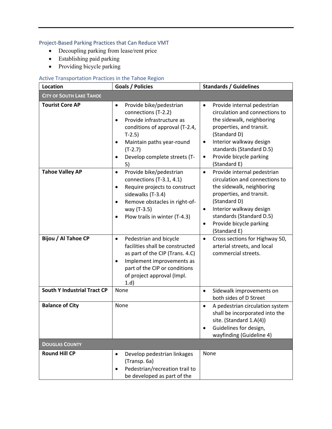# Project‐Based Parking Practices that Can Reduce VMT

- Decoupling parking from lease/rent price
- Establishing paid parking
- Providing bicycle parking

# Active Transportation Practices in the Tahoe Region

| <b>Location</b>                    | Goals / Policies                                                                                                                                                                                                                                             | <b>Standards / Guidelines</b>                                                                                                                                                                                                                                                   |
|------------------------------------|--------------------------------------------------------------------------------------------------------------------------------------------------------------------------------------------------------------------------------------------------------------|---------------------------------------------------------------------------------------------------------------------------------------------------------------------------------------------------------------------------------------------------------------------------------|
| <b>CITY OF SOUTH LAKE TAHOE</b>    |                                                                                                                                                                                                                                                              |                                                                                                                                                                                                                                                                                 |
| <b>Tourist Core AP</b>             | Provide bike/pedestrian<br>$\bullet$<br>connections (T-2.2)<br>Provide infrastructure as<br>$\bullet$<br>conditions of approval (T-2.4,<br>$T-2.5$<br>Maintain paths year-round<br>$\bullet$<br>$(T-2.7)$<br>Develop complete streets (T-<br>$\bullet$<br>5) | Provide internal pedestrian<br>$\bullet$<br>circulation and connections to<br>the sidewalk, neighboring<br>properties, and transit.<br>(Standard D)<br>Interior walkway design<br>٠<br>standards (Standard D.5)<br>Provide bicycle parking<br>$\bullet$<br>(Standard E)         |
| <b>Tahoe Valley AP</b>             | Provide bike/pedestrian<br>$\bullet$<br>connections (T-3.1, 4.1)<br>Require projects to construct<br>$\bullet$<br>sidewalks (T-3.4)<br>Remove obstacles in right-of-<br>$\bullet$<br>way (T-3.5)<br>Plow trails in winter (T-4.3)<br>$\bullet$               | Provide internal pedestrian<br>$\bullet$<br>circulation and connections to<br>the sidewalk, neighboring<br>properties, and transit.<br>(Standard D)<br>Interior walkway design<br>$\bullet$<br>standards (Standard D.5)<br>Provide bicycle parking<br>$\bullet$<br>(Standard E) |
| Bijou / Al Tahoe CP                | Pedestrian and bicycle<br>$\bullet$<br>facilities shall be constructed<br>as part of the CIP (Trans. 4.C)<br>Implement improvements as<br>$\bullet$<br>part of the CIP or conditions<br>of project approval (Impl.<br>1.d)                                   | Cross sections for Highway 50,<br>$\bullet$<br>arterial streets, and local<br>commercial streets.                                                                                                                                                                               |
| <b>South Y Industrial Tract CP</b> | None                                                                                                                                                                                                                                                         | Sidewalk improvements on<br>$\bullet$<br>both sides of D Street                                                                                                                                                                                                                 |
| <b>Balance of City</b>             | None                                                                                                                                                                                                                                                         | A pedestrian circulation system<br>$\bullet$<br>shall be incorporated into the<br>site. (Standard 1.A(4))<br>Guidelines for design,<br>wayfinding (Guideline 4)                                                                                                                 |
| <b>DOUGLAS COUNTY</b>              |                                                                                                                                                                                                                                                              |                                                                                                                                                                                                                                                                                 |
| <b>Round Hill CP</b>               | Develop pedestrian linkages<br>$\bullet$<br>(Transp. 6a)<br>Pedestrian/recreation trail to<br>$\bullet$<br>be developed as part of the                                                                                                                       | None                                                                                                                                                                                                                                                                            |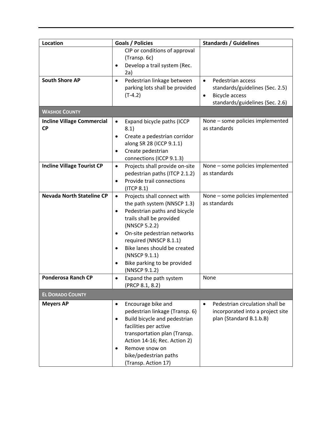|                                                | CIP or conditions of approval<br>(Transp. 6c)                                                                                                                                                                                                                                                                                                 | <b>Standards / Guidelines</b>                                                                                                              |
|------------------------------------------------|-----------------------------------------------------------------------------------------------------------------------------------------------------------------------------------------------------------------------------------------------------------------------------------------------------------------------------------------------|--------------------------------------------------------------------------------------------------------------------------------------------|
|                                                |                                                                                                                                                                                                                                                                                                                                               |                                                                                                                                            |
|                                                | Develop a trail system (Rec.<br>2a)                                                                                                                                                                                                                                                                                                           |                                                                                                                                            |
| <b>South Shore AP</b>                          | Pedestrian linkage between<br>$\bullet$<br>parking lots shall be provided<br>$(T-4.2)$                                                                                                                                                                                                                                                        | Pedestrian access<br>$\bullet$<br>standards/guidelines (Sec. 2.5)<br><b>Bicycle access</b><br>$\bullet$<br>standards/guidelines (Sec. 2.6) |
| <b>WASHOE COUNTY</b>                           |                                                                                                                                                                                                                                                                                                                                               |                                                                                                                                            |
| <b>Incline Village Commercial</b><br><b>CP</b> | Expand bicycle paths (ICCP<br>$\bullet$<br>8.1)<br>Create a pedestrian corridor<br>$\bullet$<br>along SR 28 (ICCP 9.1.1)<br>Create pedestrian<br>connections (ICCP 9.1.3)                                                                                                                                                                     | None - some policies implemented<br>as standards                                                                                           |
| <b>Incline Village Tourist CP</b>              | Projects shall provide on-site<br>$\bullet$<br>pedestrian paths (ITCP 2.1.2)<br>Provide trail connections<br>$\bullet$<br>$($ ITCP 8.1 $)$                                                                                                                                                                                                    | None - some policies implemented<br>as standards                                                                                           |
| <b>Nevada North Stateline CP</b>               | Projects shall connect with<br>$\bullet$<br>the path system (NNSCP 1.3)<br>Pedestrian paths and bicycle<br>$\bullet$<br>trails shall be provided<br>(NNSCP 5.2.2)<br>On-site pedestrian networks<br>$\bullet$<br>required (NNSCP 8.1.1)<br>Bike lanes should be created<br>(NNSCP 9.1.1)<br>Bike parking to be provided<br>٠<br>(NNSCP 9.1.2) | None - some policies implemented<br>as standards                                                                                           |
| <b>Ponderosa Ranch CP</b>                      | Expand the path system<br>(PRCP 8.1, 8.2)                                                                                                                                                                                                                                                                                                     | None                                                                                                                                       |
| <b>EL DORADO COUNTY</b>                        |                                                                                                                                                                                                                                                                                                                                               |                                                                                                                                            |
| <b>Meyers AP</b>                               | Encourage bike and<br>٠<br>pedestrian linkage (Transp. 6)<br>Build bicycle and pedestrian<br>$\bullet$<br>facilities per active<br>transportation plan (Transp.<br>Action 14-16; Rec. Action 2)<br>Remove snow on<br>٠<br>bike/pedestrian paths                                                                                               | Pedestrian circulation shall be<br>$\bullet$<br>incorporated into a project site<br>plan (Standard B.1.b.B)                                |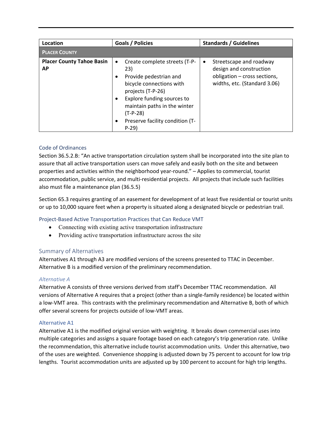| Location                                      | <b>Goals / Policies</b>                                                                                                                                                                                                                               | <b>Standards / Guidelines</b>                                                                                                   |
|-----------------------------------------------|-------------------------------------------------------------------------------------------------------------------------------------------------------------------------------------------------------------------------------------------------------|---------------------------------------------------------------------------------------------------------------------------------|
| <b>PLACER COUNTY</b>                          |                                                                                                                                                                                                                                                       |                                                                                                                                 |
| <b>Placer County Tahoe Basin</b><br><b>AP</b> | Create complete streets (T-P-<br>$\bullet$<br>23)<br>Provide pedestrian and<br>bicycle connections with<br>projects (T-P-26)<br>Explore funding sources to<br>maintain paths in the winter<br>$(T-P-28)$<br>Preserve facility condition (T-<br>$P-29$ | Streetscape and roadway<br>$\bullet$<br>design and construction<br>obligation - cross sections,<br>widths, etc. (Standard 3.06) |

## Code of Ordinances

Section 36.5.2.B: "An active transportation circulation system shall be incorporated into the site plan to assure that all active transportation users can move safely and easily both on the site and between properties and activities within the neighborhood year‐round." – Applies to commercial, tourist accommodation, public service, and multi-residential projects. All projects that include such facilities also must file a maintenance plan (36.5.5)

Section 65.3 requires granting of an easement for development of at least five residential or tourist units or up to 10,000 square feet when a property is situated along a designated bicycle or pedestrian trail.

## Project‐Based Active Transportation Practices that Can Reduce VMT

- Connecting with existing active transportation infrastructure
- Providing active transportation infrastructure across the site

## Summary of Alternatives

Alternatives A1 through A3 are modified versions of the screens presented to TTAC in December. Alternative B is a modified version of the preliminary recommendation.

## *Alternative A*

Alternative A consists of three versions derived from staff's December TTAC recommendation. All versions of Alternative A requires that a project (other than a single‐family residence) be located within a low‐VMT area. This contrasts with the preliminary recommendation and Alternative B, both of which offer several screens for projects outside of low‐VMT areas.

## Alternative A1

Alternative A1 is the modified original version with weighting. It breaks down commercial uses into multiple categories and assigns a square footage based on each category's trip generation rate. Unlike the recommendation, this alternative include tourist accommodation units. Under this alternative, two of the uses are weighted. Convenience shopping is adjusted down by 75 percent to account for low trip lengths. Tourist accommodation units are adjusted up by 100 percent to account for high trip lengths.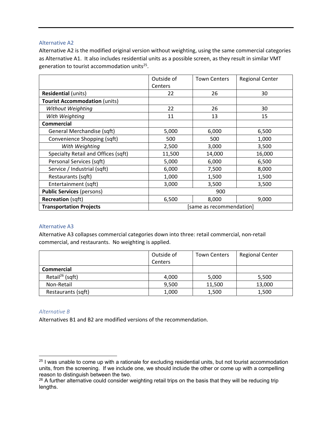## Alternative A2

Alternative A2 is the modified original version without weighting, using the same commercial categories as Alternative A1. It also includes residential units as a possible screen, as they result in similar VMT generation to tourist accommodation units<sup>25</sup>.

|                                      | Outside of | <b>Town Centers</b>      | <b>Regional Center</b> |
|--------------------------------------|------------|--------------------------|------------------------|
|                                      | Centers    |                          |                        |
| <b>Residential (units)</b>           | 22         | 26                       | 30                     |
| <b>Tourist Accommodation (units)</b> |            |                          |                        |
| Without Weighting                    | 22         | 26                       | 30                     |
| With Weighting                       | 11         | 13                       | 15                     |
| <b>Commercial</b>                    |            |                          |                        |
| General Merchandise (sqft)           | 5,000      | 6,000                    | 6,500                  |
| Convenience Shopping (sqft)          | 500        | 500                      | 1,000                  |
| With Weighting                       | 2,500      | 3,000                    | 3,500                  |
| Specialty Retail and Offices (sqft)  | 11,500     | 14,000                   | 16,000                 |
| Personal Services (sqft)             | 5,000      | 6,000                    | 6,500                  |
| Service / Industrial (sqft)          | 6,000      | 7,500                    | 8,000                  |
| Restaurants (sqft)                   | 1,000      | 1,500                    | 1,500                  |
| Entertainment (sqft)                 | 3,000      | 3,500                    | 3,500                  |
| <b>Public Services (persons)</b>     |            | 900                      |                        |
| <b>Recreation (sqft)</b>             | 6,500      | 8,000                    | 9,000                  |
| <b>Transportation Projects</b>       |            | [same as recommendation] |                        |

## Alternative A3

Alternative A3 collapses commercial categories down into three: retail commercial, non‐retail commercial, and restaurants. No weighting is applied.

|                             | Outside of     | <b>Town Centers</b> | <b>Regional Center</b> |
|-----------------------------|----------------|---------------------|------------------------|
|                             | <b>Centers</b> |                     |                        |
| <b>Commercial</b>           |                |                     |                        |
| Retail <sup>26</sup> (sqft) | 4,000          | 5,000               | 5,500                  |
| Non-Retail                  | 9,500          | 11,500              | 13,000                 |
| Restaurants (sqft)          | 1,000          | 1,500               | 1,500                  |

## *Alternative B*

Alternatives B1 and B2 are modified versions of the recommendation.

 $25$  I was unable to come up with a rationale for excluding residential units, but not tourist accommodation units, from the screening. If we include one, we should include the other or come up with a compelling reason to distinguish between the two.

<sup>&</sup>lt;sup>26</sup> A further alternative could consider weighting retail trips on the basis that they will be reducing trip lengths.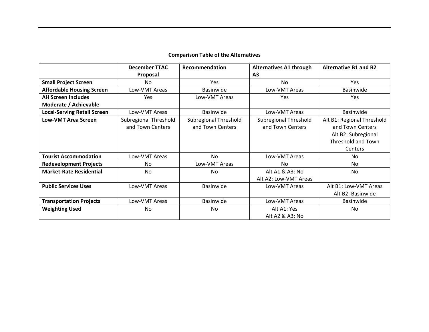|                                    | <b>December TTAC</b>                      | Recommendation                            | <b>Alternatives A1 through</b>            | <b>Alternative B1 and B2</b>                                                                                  |
|------------------------------------|-------------------------------------------|-------------------------------------------|-------------------------------------------|---------------------------------------------------------------------------------------------------------------|
|                                    | Proposal                                  |                                           | A <sub>3</sub>                            |                                                                                                               |
| <b>Small Project Screen</b>        | No                                        | <b>Yes</b>                                | No.                                       | Yes                                                                                                           |
| <b>Affordable Housing Screen</b>   | Low-VMT Areas                             | <b>Basinwide</b>                          | Low-VMT Areas                             | Basinwide                                                                                                     |
| <b>AH Screen Includes</b>          | <b>Yes</b>                                | Low-VMT Areas                             | <b>Yes</b>                                | <b>Yes</b>                                                                                                    |
| Moderate / Achievable              |                                           |                                           |                                           |                                                                                                               |
| <b>Local-Serving Retail Screen</b> | Low-VMT Areas                             | <b>Basinwide</b>                          | Low-VMT Areas                             | <b>Basinwide</b>                                                                                              |
| <b>Low-VMT Area Screen</b>         | Subregional Threshold<br>and Town Centers | Subregional Threshold<br>and Town Centers | Subregional Threshold<br>and Town Centers | Alt B1: Regional Threshold<br>and Town Centers<br>Alt B2: Subregional<br><b>Threshold and Town</b><br>Centers |
| <b>Tourist Accommodation</b>       | Low-VMT Areas                             | No                                        | Low-VMT Areas                             | No.                                                                                                           |
| <b>Redevelopment Projects</b>      | No                                        | Low-VMT Areas                             | No                                        | No                                                                                                            |
| <b>Market-Rate Residential</b>     | No                                        | No                                        | Alt A1 & A3: No<br>Alt A2: Low-VMT Areas  | No                                                                                                            |
| <b>Public Services Uses</b>        | Low-VMT Areas                             | Basinwide                                 | Low-VMT Areas                             | Alt B1: Low-VMT Areas<br>Alt B2: Basinwide                                                                    |
| <b>Transportation Projects</b>     | Low-VMT Areas                             | <b>Basinwide</b>                          | Low-VMT Areas                             | Basinwide                                                                                                     |
| <b>Weighting Used</b>              | No                                        | No                                        | Alt A1: Yes<br>Alt A2 & A3: No            | No                                                                                                            |

## **Comparison Table of the Alternatives**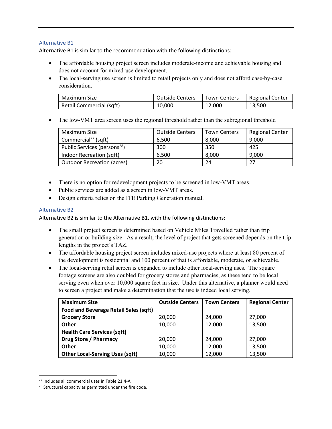## Alternative B1

Alternative B1 is similar to the recommendation with the following distinctions:

- The affordable housing project screen includes moderate-income and achievable housing and does not account for mixed-use development.
- The local-serving use screen is limited to retail projects only and does not afford case-by-case consideration.

| Maximum Size             | <b>Outside Centers</b> | <b>Town Centers</b> | Regional Center |
|--------------------------|------------------------|---------------------|-----------------|
| Retail Commercial (sqft) | 10,000                 | 12.000              | 13,500          |

• The low-VMT area screen uses the regional threshold rather than the subregional threshold

| Maximum Size                             | <b>Outside Centers</b> | <b>Town Centers</b> | <b>Regional Center</b> |
|------------------------------------------|------------------------|---------------------|------------------------|
| Commercial <sup>27</sup> (sqft)          | 6,500                  | 8,000               | 9,000                  |
| Public Services (persons <sup>28</sup> ) | 300                    | 350                 | 425                    |
| Indoor Recreation (sqft)                 | 6,500                  | 8,000               | 9,000                  |
| Outdoor Recreation (acres)               | 20                     | 24                  | 27                     |

- There is no option for redevelopment projects to be screened in low-VMT areas.
- Public services are added as a screen in low-VMT areas.
- Design criteria relies on the ITE Parking Generation manual.

## Alternative B2

Alternative B2 is similar to the Alternative B1, with the following distinctions:

- The small project screen is determined based on Vehicle Miles Travelled rather than trip generation or building size. As a result, the level of project that gets screened depends on the trip lengths in the project's TAZ.
- The affordable housing project screen includes mixed-use projects where at least 80 percent of the development is residential and 100 percent of that is affordable, moderate, or achievable.
- The local-serving retail screen is expanded to include other local-serving uses. The square footage screens are also doubled for grocery stores and pharmacies, as these tend to be local serving even when over 10,000 square feet in size. Under this alternative, a planner would need to screen a project and make a determination that the use is indeed local serving.

| <b>Maximum Size</b>                    | <b>Outside Centers</b> | <b>Town Centers</b> | <b>Regional Center</b> |
|----------------------------------------|------------------------|---------------------|------------------------|
| Food and Beverage Retail Sales (sqft)  |                        |                     |                        |
| <b>Grocery Store</b>                   | 20,000                 | 24,000              | 27,000                 |
| <b>Other</b>                           | 10,000                 | 12,000              | 13,500                 |
| <b>Health Care Services (sqft)</b>     |                        |                     |                        |
| Drug Store / Pharmacy                  | 20,000                 | 24,000              | 27,000                 |
| <b>Other</b>                           | 10,000                 | 12,000              | 13,500                 |
| <b>Other Local-Serving Uses (sqft)</b> | 10,000                 | 12,000              | 13,500                 |

<sup>27</sup> Includes all commercial uses in Table 21.4‐A

<sup>&</sup>lt;sup>28</sup> Structural capacity as permitted under the fire code.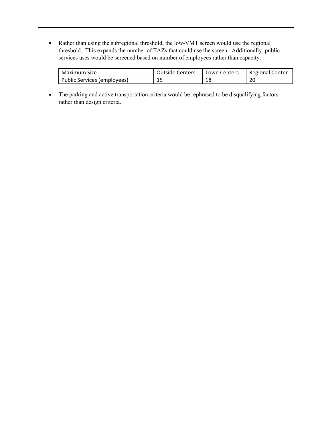Rather than using the subregional threshold, the low-VMT screen would use the regional threshold. This expands the number of TAZs that could use the screen. Additionally, public services uses would be screened based on number of employees rather than capacity.

| Maximum Size                | <b>Outside Centers</b> | <b>Town Centers</b> | Regional Center |
|-----------------------------|------------------------|---------------------|-----------------|
| Public Services (employees) | 15                     | 18                  | 20              |

 The parking and active transportation criteria would be rephrased to be disqualifying factors rather than design criteria.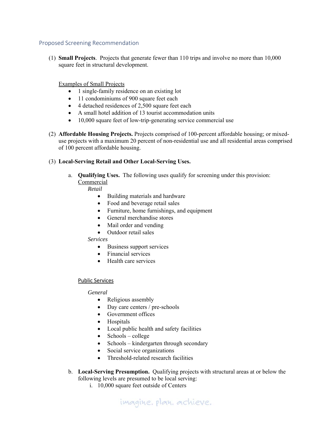## Proposed Screening Recommendation

(1) **Small Projects**. Projects that generate fewer than 110 trips and involve no more than 10,000 square feet in structural development.

Examples of Small Projects

- 1 single-family residence on an existing lot
- 11 condominiums of 900 square feet each
- 4 detached residences of 2,500 square feet each
- A small hotel addition of 13 tourist accommodation units
- 10,000 square feet of low-trip-generating service commercial use
- (2) **Affordable Housing Projects.** Projects comprised of 100-percent affordable housing; or mixeduse projects with a maximum 20 percent of non-residential use and all residential areas comprised of 100 percent affordable housing.

## (3) **Local-Serving Retail and Other Local-Serving Uses.**

a. **Qualifying Uses.** The following uses qualify for screening under this provision: Commercial

## *Retail*

- Building materials and hardware
- Food and beverage retail sales
- Furniture, home furnishings, and equipment
- General merchandise stores
- Mail order and vending
- Outdoor retail sales

*Services*

- Business support services
- Financial services
- Health care services

## Public Services

## *General*

- Religious assembly
- Day care centers / pre-schools
- Government offices
- Hospitals
- Local public health and safety facilities
- Schools college
- $\bullet$  Schools kindergarten through secondary
- Social service organizations
- Threshold-related research facilities
- b. **Local-Serving Presumption.** Qualifying projects with structural areas at or below the following levels are presumed to be local serving:
	- i. 10,000 square feet outside of Centers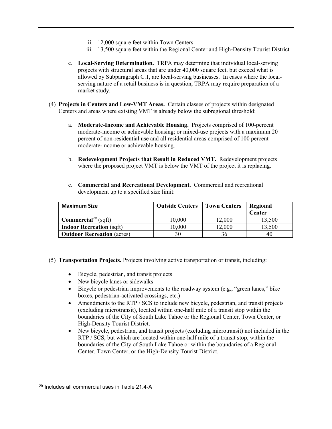- ii. 12,000 square feet within Town Centers
- iii. 13,500 square feet within the Regional Center and High-Density Tourist District
- c. **Local-Serving Determination.** TRPA may determine that individual local-serving projects with structural areas that are under 40,000 square feet, but exceed what is allowed by Subparagraph C.1, are local-serving businesses. In cases where the localserving nature of a retail business is in question, TRPA may require preparation of a market study.
- (4) **Projects in Centers and Low-VMT Areas.** Certain classes of projects within designated Centers and areas where existing VMT is already below the subregional threshold:
	- a. **Moderate-Income and Achievable Housing.** Projects comprised of 100-percent moderate-income or achievable housing; or mixed-use projects with a maximum 20 percent of non-residential use and all residential areas comprised of 100 percent moderate-income or achievable housing.
	- b. **Redevelopment Projects that Result in Reduced VMT.** Redevelopment projects where the proposed project VMT is below the VMT of the project it is replacing.
	- c. **Commercial and Recreational Development.** Commercial and recreational development up to a specified size limit:

| <b>Maximum Size</b>                    | <b>Outside Centers</b> | <b>Town Centers</b> | Regional<br>Center |
|----------------------------------------|------------------------|---------------------|--------------------|
| <b>Commercial</b> <sup>29</sup> (sqft) | 10,000                 | 12,000              | 13,500             |
| <b>Indoor Recreation (sqft)</b>        | 10,000                 | 12,000              | 13,500             |
| <b>Outdoor Recreation (acres)</b>      | 30                     | 36                  | 40                 |

- (5) **Transportation Projects.** Projects involving active transportation or transit, including:
	- Bicycle, pedestrian, and transit projects
	- New bicycle lanes or sidewalks
	- Bicycle or pedestrian improvements to the roadway system (e.g., "green lanes," bike boxes, pedestrian-activated crossings, etc.)
	- Amendments to the RTP / SCS to include new bicycle, pedestrian, and transit projects (excluding microtransit), located within one-half mile of a transit stop within the boundaries of the City of South Lake Tahoe or the Regional Center, Town Center, or High-Density Tourist District.
	- New bicycle, pedestrian, and transit projects (excluding microtransit) not included in the RTP / SCS, but which are located within one-half mile of a transit stop, within the boundaries of the City of South Lake Tahoe or within the boundaries of a Regional Center, Town Center, or the High-Density Tourist District.

<sup>29</sup> Includes all commercial uses in Table 21.4-A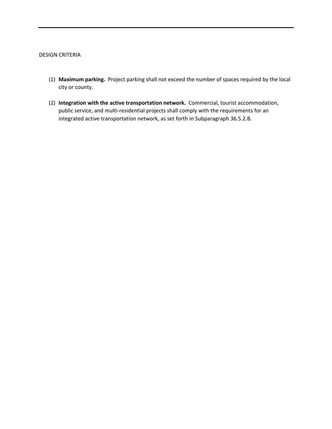#### DESIGN CRITERIA

- (1) **Maximum parking.** Project parking shall not exceed the number of spaces required by the local city or county.
- (2) **Integration with the active transportation network.** Commercial, tourist accommodation, public service, and multi-residential projects shall comply with the requirements for an integrated active transportation network, as set forth in Subparagraph 36.5.2.B.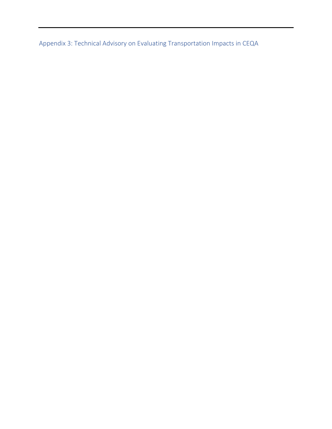Appendix 3: Technical Advisory on Evaluating Transportation Impacts in CEQA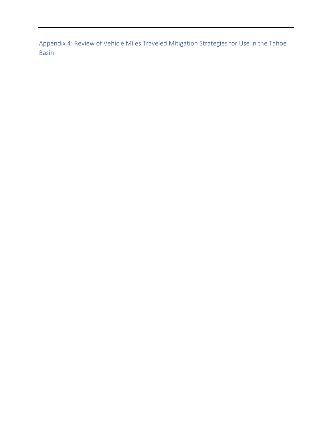Appendix 4: Review of Vehicle Miles Traveled Mitigation Strategies for Use in the Tahoe Basin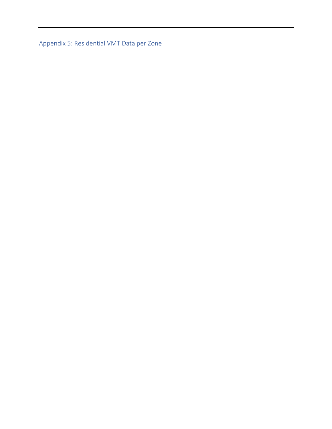Appendix 5: Residential VMT Data per Zone